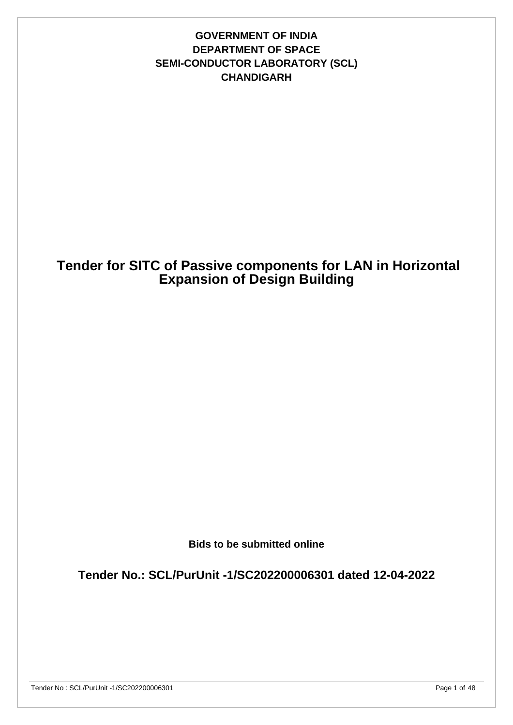## **GOVERNMENT OF INDIA DEPARTMENT OF SPACE SEMI-CONDUCTOR LABORATORY (SCL) CHANDIGARH**

# **Tender for SITC of Passive components for LAN in Horizontal Expansion of Design Building**

**Bids to be submitted online**

**Tender No.: SCL/PurUnit -1/SC202200006301 dated 12-04-2022**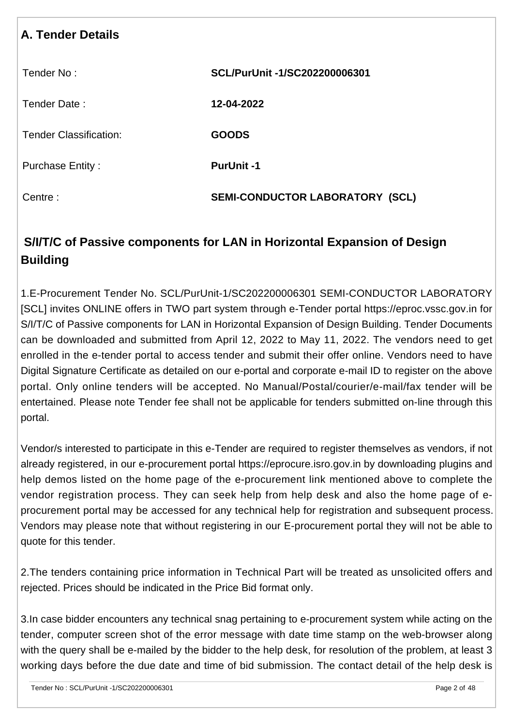| <b>A. Tender Details</b>      |                                           |
|-------------------------------|-------------------------------------------|
| Tender No:                    | SCL/PurUnit -1/SC202200006301             |
| Tender Date:                  | 12-04-2022                                |
| <b>Tender Classification:</b> | <b>GOODS</b>                              |
| <b>Purchase Entity:</b>       | <b>PurUnit-1</b>                          |
| Centre:                       | <b>SEMI-CONDUCTOR LABORATORY</b><br>(SCL) |

# **S/I/T/C of Passive components for LAN in Horizontal Expansion of Design Building**

1.E-Procurement Tender No. SCL/PurUnit-1/SC202200006301 SEMI-CONDUCTOR LABORATORY [SCL] invites ONLINE offers in TWO part system through e-Tender portal https://eproc.vssc.gov.in for S/I/T/C of Passive components for LAN in Horizontal Expansion of Design Building. Tender Documents can be downloaded and submitted from April 12, 2022 to May 11, 2022. The vendors need to get enrolled in the e-tender portal to access tender and submit their offer online. Vendors need to have Digital Signature Certificate as detailed on our e-portal and corporate e-mail ID to register on the above portal. Only online tenders will be accepted. No Manual/Postal/courier/e-mail/fax tender will be entertained. Please note Tender fee shall not be applicable for tenders submitted on-line through this portal.

Vendor/s interested to participate in this e-Tender are required to register themselves as vendors, if not already registered, in our e-procurement portal https://eprocure.isro.gov.in by downloading plugins and help demos listed on the home page of the e-procurement link mentioned above to complete the vendor registration process. They can seek help from help desk and also the home page of eprocurement portal may be accessed for any technical help for registration and subsequent process. Vendors may please note that without registering in our E-procurement portal they will not be able to quote for this tender.

2.The tenders containing price information in Technical Part will be treated as unsolicited offers and rejected. Prices should be indicated in the Price Bid format only.

3.In case bidder encounters any technical snag pertaining to e-procurement system while acting on the tender, computer screen shot of the error message with date time stamp on the web-browser along with the query shall be e-mailed by the bidder to the help desk, for resolution of the problem, at least 3 working days before the due date and time of bid submission. The contact detail of the help desk is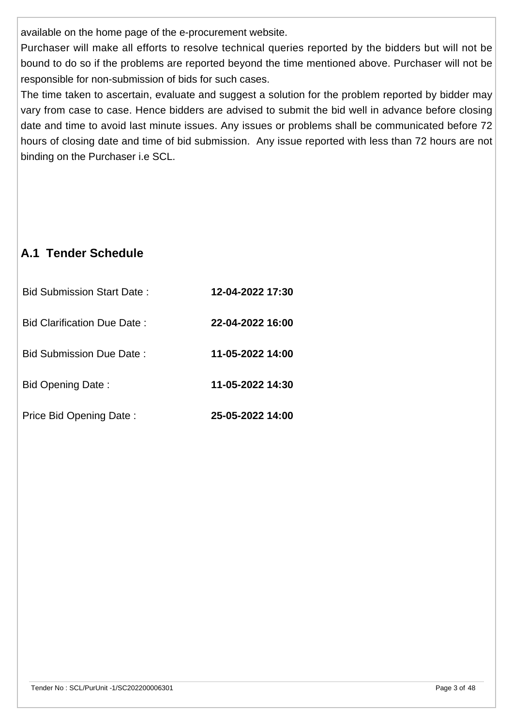available on the home page of the e-procurement website.

Purchaser will make all efforts to resolve technical queries reported by the bidders but will not be bound to do so if the problems are reported beyond the time mentioned above. Purchaser will not be responsible for non-submission of bids for such cases.

The time taken to ascertain, evaluate and suggest a solution for the problem reported by bidder may vary from case to case. Hence bidders are advised to submit the bid well in advance before closing date and time to avoid last minute issues. Any issues or problems shall be communicated before 72 hours of closing date and time of bid submission. Any issue reported with less than 72 hours are not binding on the Purchaser i.e SCL.

# **A.1 Tender Schedule**

| <b>Bid Submission Start Date:</b> | 12-04-2022 17:30 |
|-----------------------------------|------------------|
| Bid Clarification Due Date:       | 22-04-2022 16:00 |
| Bid Submission Due Date:          | 11-05-2022 14:00 |
| Bid Opening Date:                 | 11-05-2022 14:30 |
| Price Bid Opening Date:           | 25-05-2022 14:00 |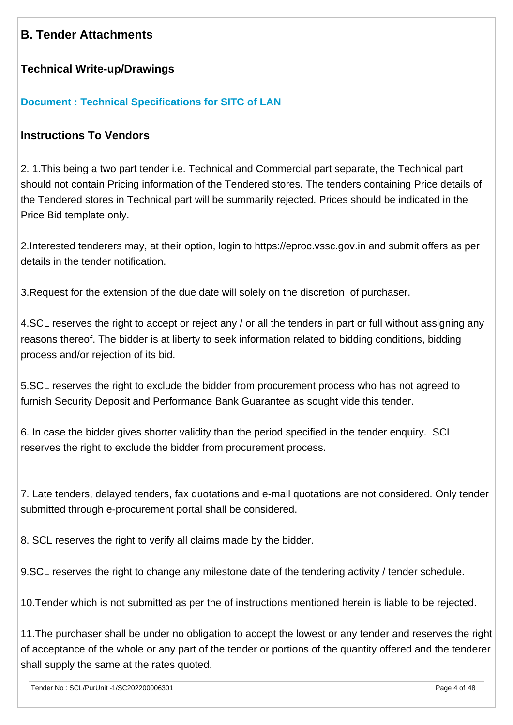# **B. Tender Attachments**

## **Technical Write-up/Drawings**

### **[Document : Technical Specifications for SITC of LAN](https://eproc.isro.gov.in/common/viewDocument?id=ff8081817fc0c343017fd95c8317049e&indentId=SC2022000063)**

### **Instructions To Vendors**

2. 1.This being a two part tender i.e. Technical and Commercial part separate, the Technical part should not contain Pricing information of the Tendered stores. The tenders containing Price details of the Tendered stores in Technical part will be summarily rejected. Prices should be indicated in the Price Bid template only.

2.Interested tenderers may, at their option, login to https://eproc.vssc.gov.in and submit offers as per details in the tender notification.

3.Request for the extension of the due date will solely on the discretion of purchaser.

4.SCL reserves the right to accept or reject any / or all the tenders in part or full without assigning any reasons thereof. The bidder is at liberty to seek information related to bidding conditions, bidding process and/or rejection of its bid.

5.SCL reserves the right to exclude the bidder from procurement process who has not agreed to furnish Security Deposit and Performance Bank Guarantee as sought vide this tender.

6. In case the bidder gives shorter validity than the period specified in the tender enquiry. SCL reserves the right to exclude the bidder from procurement process.

7. Late tenders, delayed tenders, fax quotations and e-mail quotations are not considered. Only tender submitted through e-procurement portal shall be considered.

8. SCL reserves the right to verify all claims made by the bidder.

9.SCL reserves the right to change any milestone date of the tendering activity / tender schedule.

10.Tender which is not submitted as per the of instructions mentioned herein is liable to be rejected.

11.The purchaser shall be under no obligation to accept the lowest or any tender and reserves the right of acceptance of the whole or any part of the tender or portions of the quantity offered and the tenderer shall supply the same at the rates quoted.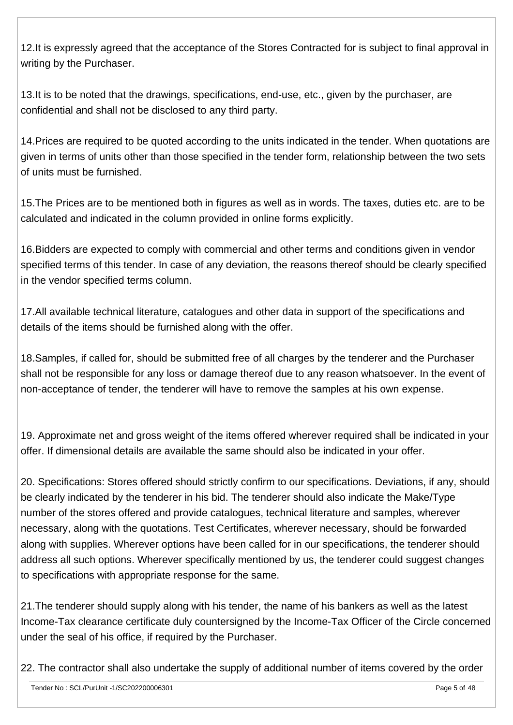12.It is expressly agreed that the acceptance of the Stores Contracted for is subject to final approval in writing by the Purchaser.

13.It is to be noted that the drawings, specifications, end-use, etc., given by the purchaser, are confidential and shall not be disclosed to any third party.

14.Prices are required to be quoted according to the units indicated in the tender. When quotations are given in terms of units other than those specified in the tender form, relationship between the two sets of units must be furnished.

15.The Prices are to be mentioned both in figures as well as in words. The taxes, duties etc. are to be calculated and indicated in the column provided in online forms explicitly.

16.Bidders are expected to comply with commercial and other terms and conditions given in vendor specified terms of this tender. In case of any deviation, the reasons thereof should be clearly specified in the vendor specified terms column.

17.All available technical literature, catalogues and other data in support of the specifications and details of the items should be furnished along with the offer.

18.Samples, if called for, should be submitted free of all charges by the tenderer and the Purchaser shall not be responsible for any loss or damage thereof due to any reason whatsoever. In the event of non-acceptance of tender, the tenderer will have to remove the samples at his own expense.

19. Approximate net and gross weight of the items offered wherever required shall be indicated in your offer. If dimensional details are available the same should also be indicated in your offer.

20. Specifications: Stores offered should strictly confirm to our specifications. Deviations, if any, should be clearly indicated by the tenderer in his bid. The tenderer should also indicate the Make/Type number of the stores offered and provide catalogues, technical literature and samples, wherever necessary, along with the quotations. Test Certificates, wherever necessary, should be forwarded along with supplies. Wherever options have been called for in our specifications, the tenderer should address all such options. Wherever specifically mentioned by us, the tenderer could suggest changes to specifications with appropriate response for the same.

21.The tenderer should supply along with his tender, the name of his bankers as well as the latest Income-Tax clearance certificate duly countersigned by the Income-Tax Officer of the Circle concerned under the seal of his office, if required by the Purchaser.

22. The contractor shall also undertake the supply of additional number of items covered by the order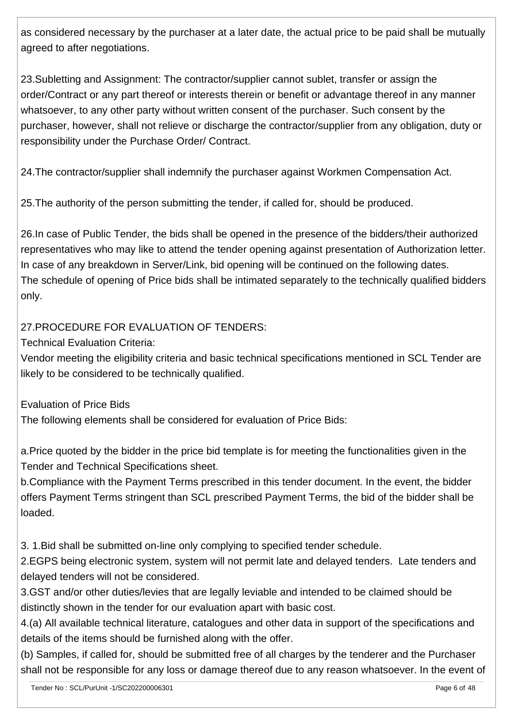as considered necessary by the purchaser at a later date, the actual price to be paid shall be mutually agreed to after negotiations.

23.Subletting and Assignment: The contractor/supplier cannot sublet, transfer or assign the order/Contract or any part thereof or interests therein or benefit or advantage thereof in any manner whatsoever, to any other party without written consent of the purchaser. Such consent by the purchaser, however, shall not relieve or discharge the contractor/supplier from any obligation, duty or responsibility under the Purchase Order/ Contract.

24.The contractor/supplier shall indemnify the purchaser against Workmen Compensation Act.

25.The authority of the person submitting the tender, if called for, should be produced.

26.In case of Public Tender, the bids shall be opened in the presence of the bidders/their authorized representatives who may like to attend the tender opening against presentation of Authorization letter. In case of any breakdown in Server/Link, bid opening will be continued on the following dates. The schedule of opening of Price bids shall be intimated separately to the technically qualified bidders only.

## 27.PROCEDURE FOR EVALUATION OF TENDERS:

Technical Evaluation Criteria:

Vendor meeting the eligibility criteria and basic technical specifications mentioned in SCL Tender are likely to be considered to be technically qualified.

Evaluation of Price Bids

The following elements shall be considered for evaluation of Price Bids:

a.Price quoted by the bidder in the price bid template is for meeting the functionalities given in the Tender and Technical Specifications sheet.

b.Compliance with the Payment Terms prescribed in this tender document. In the event, the bidder offers Payment Terms stringent than SCL prescribed Payment Terms, the bid of the bidder shall be loaded.

3. 1.Bid shall be submitted on-line only complying to specified tender schedule.

2.EGPS being electronic system, system will not permit late and delayed tenders. Late tenders and delayed tenders will not be considered.

3.GST and/or other duties/levies that are legally leviable and intended to be claimed should be distinctly shown in the tender for our evaluation apart with basic cost.

4.(a) All available technical literature, catalogues and other data in support of the specifications and details of the items should be furnished along with the offer.

(b) Samples, if called for, should be submitted free of all charges by the tenderer and the Purchaser shall not be responsible for any loss or damage thereof due to any reason whatsoever. In the event of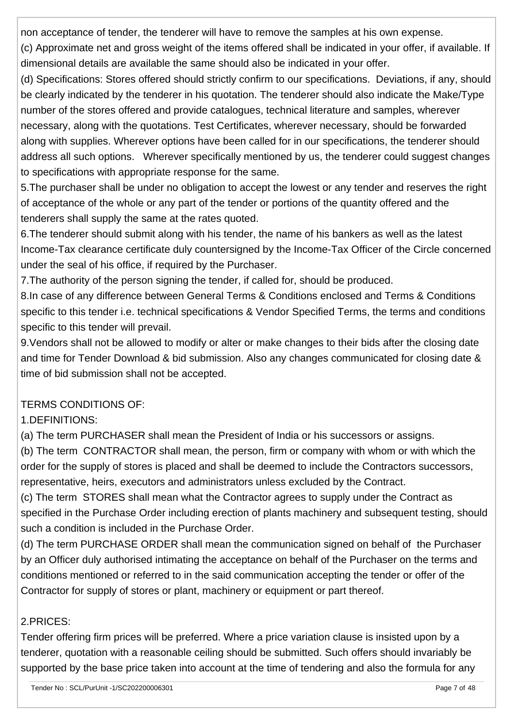non acceptance of tender, the tenderer will have to remove the samples at his own expense.

(c) Approximate net and gross weight of the items offered shall be indicated in your offer, if available. If dimensional details are available the same should also be indicated in your offer.

(d) Specifications: Stores offered should strictly confirm to our specifications. Deviations, if any, should be clearly indicated by the tenderer in his quotation. The tenderer should also indicate the Make/Type number of the stores offered and provide catalogues, technical literature and samples, wherever necessary, along with the quotations. Test Certificates, wherever necessary, should be forwarded along with supplies. Wherever options have been called for in our specifications, the tenderer should address all such options. Wherever specifically mentioned by us, the tenderer could suggest changes to specifications with appropriate response for the same.

5.The purchaser shall be under no obligation to accept the lowest or any tender and reserves the right of acceptance of the whole or any part of the tender or portions of the quantity offered and the tenderers shall supply the same at the rates quoted.

6.The tenderer should submit along with his tender, the name of his bankers as well as the latest Income-Tax clearance certificate duly countersigned by the Income-Tax Officer of the Circle concerned under the seal of his office, if required by the Purchaser.

7.The authority of the person signing the tender, if called for, should be produced.

8.In case of any difference between General Terms & Conditions enclosed and Terms & Conditions specific to this tender i.e. technical specifications & Vendor Specified Terms, the terms and conditions specific to this tender will prevail.

9.Vendors shall not be allowed to modify or alter or make changes to their bids after the closing date and time for Tender Download & bid submission. Also any changes communicated for closing date & time of bid submission shall not be accepted.

# TERMS CONDITIONS OF:

# 1.DEFINITIONS:

(a) The term PURCHASER shall mean the President of India or his successors or assigns.

(b) The term CONTRACTOR shall mean, the person, firm or company with whom or with which the order for the supply of stores is placed and shall be deemed to include the Contractors successors, representative, heirs, executors and administrators unless excluded by the Contract.

(c) The term STORES shall mean what the Contractor agrees to supply under the Contract as specified in the Purchase Order including erection of plants machinery and subsequent testing, should such a condition is included in the Purchase Order.

(d) The term PURCHASE ORDER shall mean the communication signed on behalf of the Purchaser by an Officer duly authorised intimating the acceptance on behalf of the Purchaser on the terms and conditions mentioned or referred to in the said communication accepting the tender or offer of the Contractor for supply of stores or plant, machinery or equipment or part thereof.

# 2.PRICES:

Tender offering firm prices will be preferred. Where a price variation clause is insisted upon by a tenderer, quotation with a reasonable ceiling should be submitted. Such offers should invariably be supported by the base price taken into account at the time of tendering and also the formula for any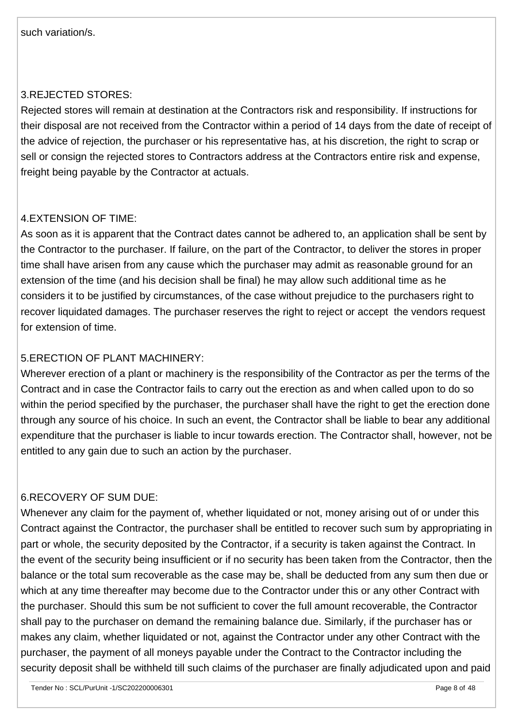### 3.REJECTED STORES:

Rejected stores will remain at destination at the Contractors risk and responsibility. If instructions for their disposal are not received from the Contractor within a period of 14 days from the date of receipt of the advice of rejection, the purchaser or his representative has, at his discretion, the right to scrap or sell or consign the rejected stores to Contractors address at the Contractors entire risk and expense, freight being payable by the Contractor at actuals.

### 4.EXTENSION OF TIME:

As soon as it is apparent that the Contract dates cannot be adhered to, an application shall be sent by the Contractor to the purchaser. If failure, on the part of the Contractor, to deliver the stores in proper time shall have arisen from any cause which the purchaser may admit as reasonable ground for an extension of the time (and his decision shall be final) he may allow such additional time as he considers it to be justified by circumstances, of the case without prejudice to the purchasers right to recover liquidated damages. The purchaser reserves the right to reject or accept the vendors request for extension of time.

### 5.ERECTION OF PLANT MACHINERY:

Wherever erection of a plant or machinery is the responsibility of the Contractor as per the terms of the Contract and in case the Contractor fails to carry out the erection as and when called upon to do so within the period specified by the purchaser, the purchaser shall have the right to get the erection done through any source of his choice. In such an event, the Contractor shall be liable to bear any additional expenditure that the purchaser is liable to incur towards erection. The Contractor shall, however, not be entitled to any gain due to such an action by the purchaser.

### 6.RECOVERY OF SUM DUE:

Whenever any claim for the payment of, whether liquidated or not, money arising out of or under this Contract against the Contractor, the purchaser shall be entitled to recover such sum by appropriating in part or whole, the security deposited by the Contractor, if a security is taken against the Contract. In the event of the security being insufficient or if no security has been taken from the Contractor, then the balance or the total sum recoverable as the case may be, shall be deducted from any sum then due or which at any time thereafter may become due to the Contractor under this or any other Contract with the purchaser. Should this sum be not sufficient to cover the full amount recoverable, the Contractor shall pay to the purchaser on demand the remaining balance due. Similarly, if the purchaser has or makes any claim, whether liquidated or not, against the Contractor under any other Contract with the purchaser, the payment of all moneys payable under the Contract to the Contractor including the security deposit shall be withheld till such claims of the purchaser are finally adjudicated upon and paid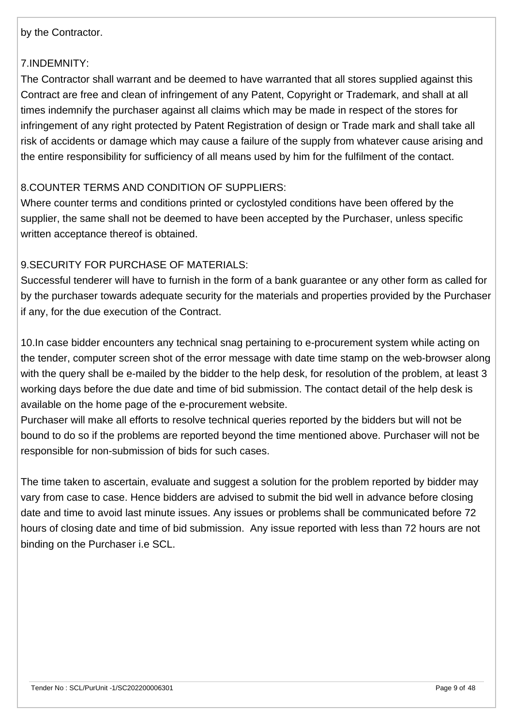#### by the Contractor.

### 7.INDEMNITY:

The Contractor shall warrant and be deemed to have warranted that all stores supplied against this Contract are free and clean of infringement of any Patent, Copyright or Trademark, and shall at all times indemnify the purchaser against all claims which may be made in respect of the stores for infringement of any right protected by Patent Registration of design or Trade mark and shall take all risk of accidents or damage which may cause a failure of the supply from whatever cause arising and the entire responsibility for sufficiency of all means used by him for the fulfilment of the contact.

### 8.COUNTER TERMS AND CONDITION OF SUPPLIERS:

Where counter terms and conditions printed or cyclostyled conditions have been offered by the supplier, the same shall not be deemed to have been accepted by the Purchaser, unless specific written acceptance thereof is obtained.

### 9.SECURITY FOR PURCHASE OF MATERIALS:

Successful tenderer will have to furnish in the form of a bank guarantee or any other form as called for by the purchaser towards adequate security for the materials and properties provided by the Purchaser if any, for the due execution of the Contract.

10.In case bidder encounters any technical snag pertaining to e-procurement system while acting on the tender, computer screen shot of the error message with date time stamp on the web-browser along with the query shall be e-mailed by the bidder to the help desk, for resolution of the problem, at least 3 working days before the due date and time of bid submission. The contact detail of the help desk is available on the home page of the e-procurement website.

Purchaser will make all efforts to resolve technical queries reported by the bidders but will not be bound to do so if the problems are reported beyond the time mentioned above. Purchaser will not be responsible for non-submission of bids for such cases.

The time taken to ascertain, evaluate and suggest a solution for the problem reported by bidder may vary from case to case. Hence bidders are advised to submit the bid well in advance before closing date and time to avoid last minute issues. Any issues or problems shall be communicated before 72 hours of closing date and time of bid submission. Any issue reported with less than 72 hours are not binding on the Purchaser i.e SCL.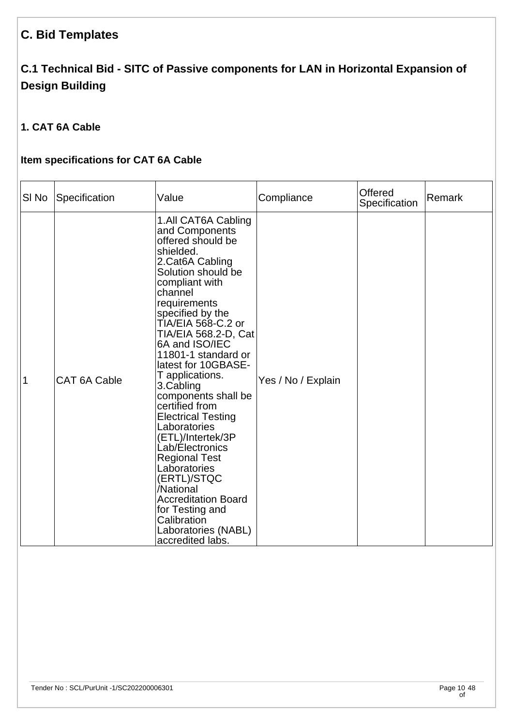# **C. Bid Templates**

# **C.1 Technical Bid - SITC of Passive components for LAN in Horizontal Expansion of Design Building**

# **1. CAT 6A Cable**

# **Item specifications for CAT 6A Cable**

| SI <sub>No</sub> | Specification       | Value                                                                                                                                                                                                                                                                                                                                                                                                                                                                                                                                                                                                                                        | Compliance         | Offered<br>Specification | Remark |
|------------------|---------------------|----------------------------------------------------------------------------------------------------------------------------------------------------------------------------------------------------------------------------------------------------------------------------------------------------------------------------------------------------------------------------------------------------------------------------------------------------------------------------------------------------------------------------------------------------------------------------------------------------------------------------------------------|--------------------|--------------------------|--------|
| 1                | <b>CAT 6A Cable</b> | 1.All CAT6A Cabling<br>and Components<br>offered should be<br>shielded.<br>2.Cat6A Cabling<br>Solution should be<br>compliant with<br>channel<br>requirements<br>specified by the<br>TIA/EIA 568-C.2 or<br>TIA/EIA 568.2-D, Cat<br>6A and ISO/IEC<br>11801-1 standard or<br>latest for 10GBASE-<br>T applications.<br>3.Cabling<br>components shall be<br>certified from<br><b>Electrical Testing</b><br>Laboratories<br>(ETL)/Intertek/3P<br>Lab/Electronics<br><b>Regional Test</b><br>Laboratories<br>(ERTL)/STQC<br>/National<br><b>Accreditation Board</b><br>for Testing and<br>Calibration<br>Laboratories (NABL)<br>accredited labs. | Yes / No / Explain |                          |        |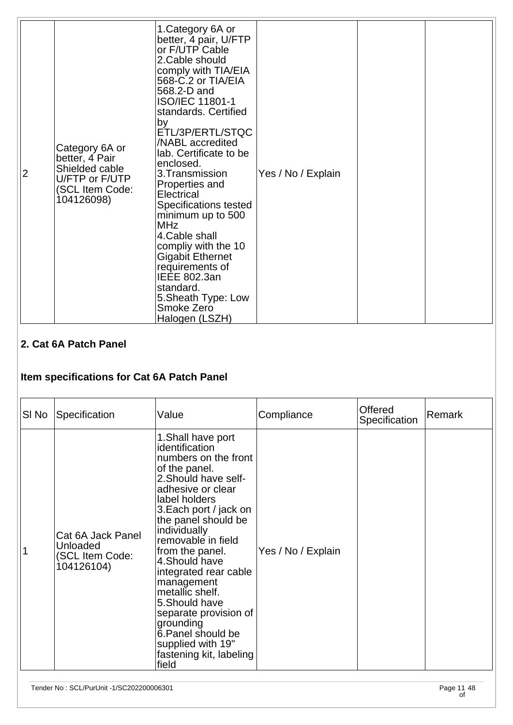| 2 | Category 6A or<br>better, 4 Pair<br>Shielded cable<br>U/FTP or F/UTP<br>(SCL Item Code:<br>104126098) | 1. Category 6A or<br>better, 4 pair, U/FTP<br>or F/UTP Cable<br>2. Cable should<br>comply with TIA/EIA<br>568-C.2 or TIA/EIA<br>568.2-D and<br><b>ISO/IEC 11801-1</b><br>standards. Certified<br>by<br>ETL/3P/ERTL/STQC<br>/NABL accredited<br>lab. Certificate to be<br>enclosed.<br>3.Transmission<br>Properties and<br>Electrical<br>Specifications tested<br>minimum up to 500<br><b>MHz</b><br>4. Cable shall<br>compliy with the 10<br>Gigabit Ethernet<br>requirements of<br><b>IEEE 802.3an</b><br>standard.<br>5. Sheath Type: Low<br>Smoke Zero<br>Halogen (LSZH) | Yes / No / Explain |  |  |
|---|-------------------------------------------------------------------------------------------------------|-----------------------------------------------------------------------------------------------------------------------------------------------------------------------------------------------------------------------------------------------------------------------------------------------------------------------------------------------------------------------------------------------------------------------------------------------------------------------------------------------------------------------------------------------------------------------------|--------------------|--|--|
|---|-------------------------------------------------------------------------------------------------------|-----------------------------------------------------------------------------------------------------------------------------------------------------------------------------------------------------------------------------------------------------------------------------------------------------------------------------------------------------------------------------------------------------------------------------------------------------------------------------------------------------------------------------------------------------------------------------|--------------------|--|--|

# **2. Cat 6A Patch Panel**

# **Item specifications for Cat 6A Patch Panel**

| SI No | Specification                                                  | Value                                                                                                                                                                                                                                                                                                                                                                                                                                                                    | Compliance         | <b>Offered</b><br>Specification | Remark |
|-------|----------------------------------------------------------------|--------------------------------------------------------------------------------------------------------------------------------------------------------------------------------------------------------------------------------------------------------------------------------------------------------------------------------------------------------------------------------------------------------------------------------------------------------------------------|--------------------|---------------------------------|--------|
|       | Cat 6A Jack Panel<br>Unloaded<br>(SCL Item Code:<br>104126104) | 1. Shall have port<br>identification<br>numbers on the front<br>of the panel.<br>2. Should have self-<br>adhesive or clear<br>label holders<br>3. Each port / jack on<br>the panel should be<br>individually<br>removable in field<br>from the panel.<br>4. Should have<br>integrated rear cable<br>management<br>metallic shelf.<br>5. Should have<br>separate provision of<br>grounding<br>6. Panel should be<br>supplied with 19"<br>fastening kit, labeling<br>field | Yes / No / Explain |                                 |        |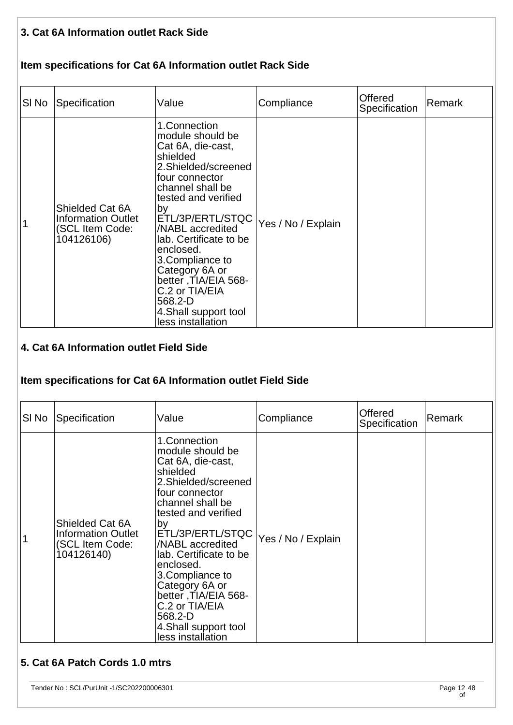### **3. Cat 6A Information outlet Rack Side**

### **Item specifications for Cat 6A Information outlet Rack Side**

| SI No | Specification                                                                 | Value                                                                                                                                                                                                                                                                                                                                                                               | Compliance         | Offered<br>Specification | Remark |
|-------|-------------------------------------------------------------------------------|-------------------------------------------------------------------------------------------------------------------------------------------------------------------------------------------------------------------------------------------------------------------------------------------------------------------------------------------------------------------------------------|--------------------|--------------------------|--------|
|       | Shielded Cat 6A<br><b>Information Outlet</b><br>(SCL Item Code:<br>104126106) | 1.Connection<br>module should be<br>Cat 6A, die-cast,<br>shielded<br>2. Shielded/screened<br>four connector<br>channel shall be<br>tested and verified<br>by<br>ETL/3P/ERTL/STQC<br>/NABL accredited<br>lab. Certificate to be<br>enclosed.<br>3.Compliance to<br>Category 6A or<br>better, TIA/EIA 568-<br>C.2 or TIA/EIA<br>568.2-D<br>4. Shall support tool<br>less installation | Yes / No / Explain |                          |        |

#### **4. Cat 6A Information outlet Field Side**

#### **Item specifications for Cat 6A Information outlet Field Side**

| SI No | Specification                                                                 | Value                                                                                                                                                                                                                                                                                                                                                                               | Compliance         | Offered<br>Specification | Remark |
|-------|-------------------------------------------------------------------------------|-------------------------------------------------------------------------------------------------------------------------------------------------------------------------------------------------------------------------------------------------------------------------------------------------------------------------------------------------------------------------------------|--------------------|--------------------------|--------|
|       | Shielded Cat 6A<br><b>Information Outlet</b><br>(SCL Item Code:<br>104126140) | 1.Connection<br>module should be<br>Cat 6A, die-cast,<br>shielded<br>2.Shielded/screened<br>four connector<br>channel shall be<br>tested and verified<br>by<br>ETL/3P/ERTL/STQC<br>/NABL accredited<br>lab. Certificate to be<br>enclosed.<br>3. Compliance to<br>Category 6A or<br>better, TIA/EIA 568-<br>C.2 or TIA/EIA<br>568.2-D<br>4. Shall support tool<br>less installation | Yes / No / Explain |                          |        |

## **5. Cat 6A Patch Cords 1.0 mtrs**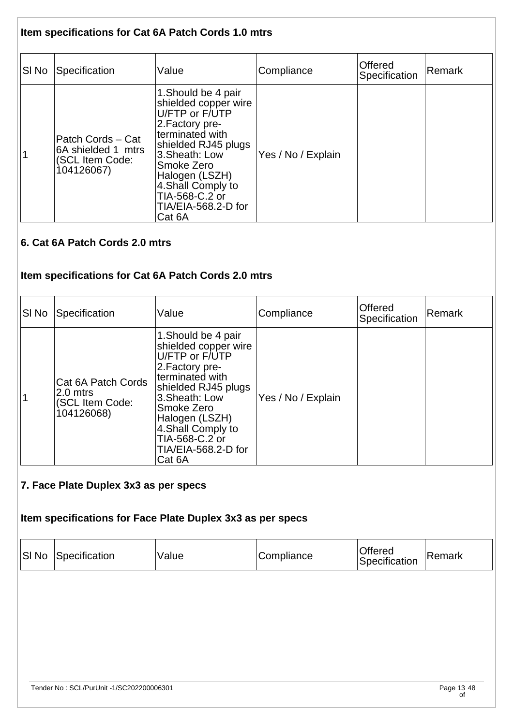### **Item specifications for Cat 6A Patch Cords 1.0 mtrs**

| SI No | Specification                                                            | Value                                                                                                                                                                                                                                                  | Compliance         | Offered<br>Specification | Remark |
|-------|--------------------------------------------------------------------------|--------------------------------------------------------------------------------------------------------------------------------------------------------------------------------------------------------------------------------------------------------|--------------------|--------------------------|--------|
|       | Patch Cords - Cat<br>6A shielded 1 mtrs<br>(SCL Item Code:<br>104126067) | 1. Should be 4 pair<br>shielded copper wire<br>U/FTP or F/UTP<br>2. Factory pre-<br>lterminated with<br>shielded RJ45 plugs<br>3. Sheath: Low<br>Smoke Zero<br>Halogen (LSZH)<br>4. Shall Comply to<br>TIA-568-C.2 or<br>TIA/EIA-568.2-D for<br>Cat 6A | Yes / No / Explain |                          |        |

### **6. Cat 6A Patch Cords 2.0 mtrs**

# **Item specifications for Cat 6A Patch Cords 2.0 mtrs**

| SI No | Specification                                                   | Value                                                                                                                                                                                                                                                 | Compliance         | Offered<br>Specification | Remark |
|-------|-----------------------------------------------------------------|-------------------------------------------------------------------------------------------------------------------------------------------------------------------------------------------------------------------------------------------------------|--------------------|--------------------------|--------|
|       | Cat 6A Patch Cords<br>2.0 mtrs<br>(SCL Item Code:<br>104126068) | 1. Should be 4 pair<br>shielded copper wire<br>U/FTP or F/UTP<br>2. Factory pre-<br>terminated with<br>shielded RJ45 plugs<br>3. Sheath: Low<br>Smoke Zero<br>Halogen (LSZH)<br>4. Shall Comply to<br>TIA-568-C.2 or<br>TIA/EIA-568.2-D for<br>Cat 6A | Yes / No / Explain |                          |        |

#### **7. Face Plate Duplex 3x3 as per specs**

# **Item specifications for Face Plate Duplex 3x3 as per specs**

| SI No | Specification                            | Value | Compliance | Offered<br>Specification | Remark           |
|-------|------------------------------------------|-------|------------|--------------------------|------------------|
|       |                                          |       |            |                          |                  |
|       |                                          |       |            |                          |                  |
|       |                                          |       |            |                          |                  |
|       | Tender No: SCL/PurUnit -1/SC202200006301 |       |            |                          | Page 13 48<br>оf |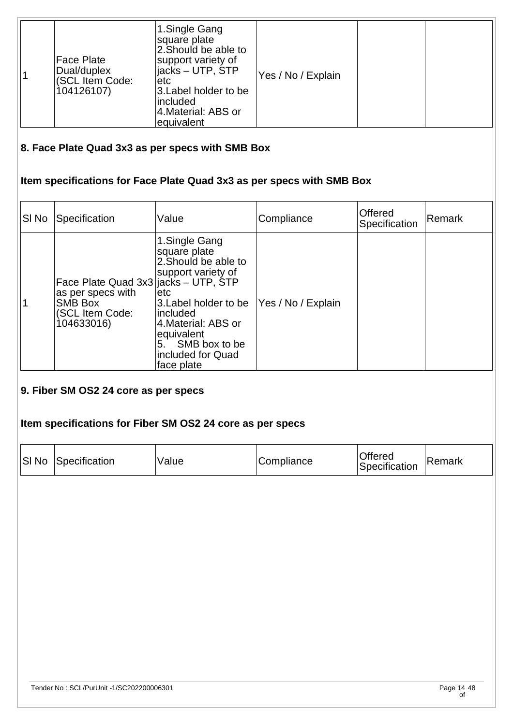| 1.Single Gang<br>square plate<br>2. Should be able to<br><b>Face Plate</b><br>support variety of<br>ljacks – UTP, ŠTP<br>Dual/duplex<br>(SCL Item Code:<br>etc<br>104126107)<br>3. Label holder to be<br>lincluded<br>4. Material: ABS or<br>equivalent | Yes / No / Explain |  |  |
|---------------------------------------------------------------------------------------------------------------------------------------------------------------------------------------------------------------------------------------------------------|--------------------|--|--|
|---------------------------------------------------------------------------------------------------------------------------------------------------------------------------------------------------------------------------------------------------------|--------------------|--|--|

# **8. Face Plate Quad 3x3 as per specs with SMB Box**

# **Item specifications for Face Plate Quad 3x3 as per specs with SMB Box**

| SI No | Specification                                                                                         | Value                                                                                                                                                                                                               | Compliance         | <b>Offered</b><br>Specification | Remark |
|-------|-------------------------------------------------------------------------------------------------------|---------------------------------------------------------------------------------------------------------------------------------------------------------------------------------------------------------------------|--------------------|---------------------------------|--------|
|       | Face Plate Quad 3x3 jacks - UTP, STP<br>as per specs with<br>SMB Box<br>(SCL Item Code:<br>104633016) | 1.Single Gang<br>square plate<br>2. Should be able to<br>support variety of<br>etc<br>3. Label holder to be<br>included<br>4. Material: ABS or<br>equivalent<br>5. SMB box to be<br>included for Quad<br>face plate | Yes / No / Explain |                                 |        |

#### **9. Fiber SM OS2 24 core as per specs**

#### **Item specifications for Fiber SM OS2 24 core as per specs**

|  | <b>SI No Specification</b> | Value | Compliance | Offered<br>Specification | 'Remark |
|--|----------------------------|-------|------------|--------------------------|---------|
|--|----------------------------|-------|------------|--------------------------|---------|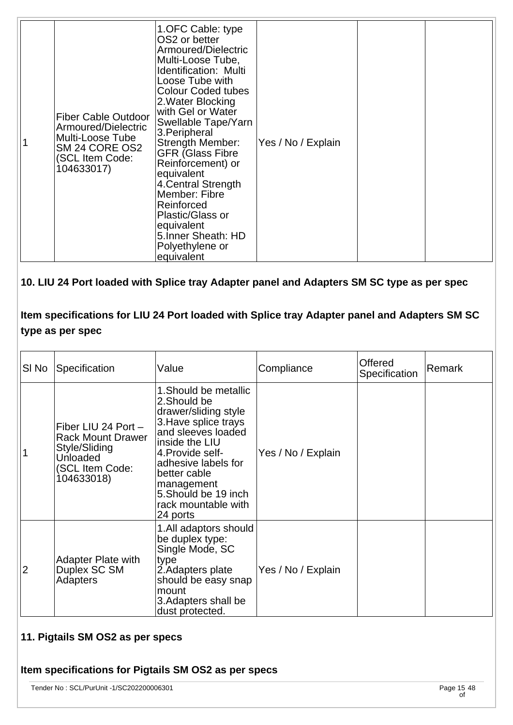|  | <b>Fiber Cable Outdoor</b><br>Armoured/Dielectric<br>Multi-Loose Tube<br>SM 24 CORE OS2<br>(SCL Item Code:<br>104633017) | 1. OFC Cable: type<br>OS2 or better<br>Armoured/Dielectric<br>Multi-Loose Tube,<br>Identification: Multi<br>Loose Tube with<br><b>Colour Coded tubes</b><br>2. Water Blocking<br>with Gel or Water<br>Swellable Tape/Yarn<br>3. Peripheral<br>Strength Member:<br><b>GFR (Glass Fibre</b><br>Reinforcement) or<br>equivalent<br>4. Central Strength<br>Member: Fibre<br>Reinforced<br>Plastic/Glass or<br>equivalent<br>5. Inner Sheath: HD<br>Polyethylene or<br>equivalent | Yes / No / Explain |  |  |
|--|--------------------------------------------------------------------------------------------------------------------------|------------------------------------------------------------------------------------------------------------------------------------------------------------------------------------------------------------------------------------------------------------------------------------------------------------------------------------------------------------------------------------------------------------------------------------------------------------------------------|--------------------|--|--|
|--|--------------------------------------------------------------------------------------------------------------------------|------------------------------------------------------------------------------------------------------------------------------------------------------------------------------------------------------------------------------------------------------------------------------------------------------------------------------------------------------------------------------------------------------------------------------------------------------------------------------|--------------------|--|--|

### **10. LIU 24 Port loaded with Splice tray Adapter panel and Adapters SM SC type as per spec**

## **Item specifications for LIU 24 Port loaded with Splice tray Adapter panel and Adapters SM SC type as per spec**

| SI No          | Specification                                                                                                        | Value                                                                                                                                                                                                                                                            | Compliance         | Offered<br>Specification | Remark |
|----------------|----------------------------------------------------------------------------------------------------------------------|------------------------------------------------------------------------------------------------------------------------------------------------------------------------------------------------------------------------------------------------------------------|--------------------|--------------------------|--------|
| $\mathbf 1$    | Fiber LIU 24 Port -<br><b>Rack Mount Drawer</b><br>Style/Sliding<br><b>Unloaded</b><br>(SCL Item Code:<br>104633018) | 1. Should be metallic<br>2.Should be<br>drawer/sliding style<br>3. Have splice trays<br>and sleeves loaded<br>inside the LIU<br>4. Provide self-<br>adhesive labels for<br>better cable<br>management<br>5. Should be 19 inch<br>rack mountable with<br>24 ports | Yes / No / Explain |                          |        |
| $\overline{2}$ | <b>Adapter Plate with</b><br>Duplex SC SM<br><b>Adapters</b>                                                         | 1.All adaptors should<br>be duplex type:<br>Single Mode, SC<br>type<br>2. Adapters plate<br>should be easy snap<br>mount<br>3. Adapters shall be<br>dust protected.                                                                                              | Yes / No / Explain |                          |        |

#### **11. Pigtails SM OS2 as per specs**

#### **Item specifications for Pigtails SM OS2 as per specs**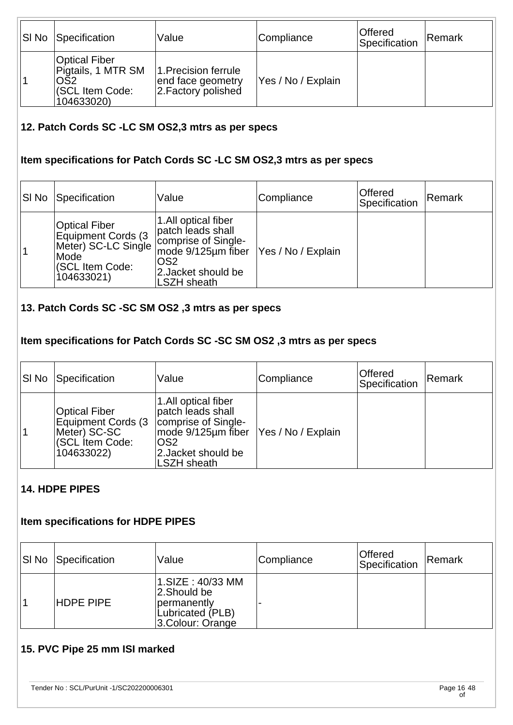| <b>SI No Specification</b>                                                              | Value                                                            | Compliance         | <b>Offered</b><br>Specification | Remark |
|-----------------------------------------------------------------------------------------|------------------------------------------------------------------|--------------------|---------------------------------|--------|
| Optical Fiber<br>Pigtails, 1 MTR SM<br>OS <sub>2</sub><br>(SCL Item Code:<br>104633020) | 1. Precision ferrule<br>end face geometry<br>2. Factory polished | Yes / No / Explain |                                 |        |

#### **12. Patch Cords SC -LC SM OS2,3 mtrs as per specs**

#### **Item specifications for Patch Cords SC -LC SM OS2,3 mtrs as per specs**

| SI No | Specification                                                                                              | Value                                                                                                                               | Compliance         | Offered<br>Specification | Remark |
|-------|------------------------------------------------------------------------------------------------------------|-------------------------------------------------------------------------------------------------------------------------------------|--------------------|--------------------------|--------|
| 1     | <b>Optical Fiber</b><br>Equipment Cords (3<br>Meter) SC-LC Single<br>Mode<br>(SCL Item Code:<br>104633021) | 1.All optical fiber<br>patch leads shall<br>comprise of Single-<br>mode 9/125µm fiber<br>lOS2<br>2. Jacket should be<br>LSZH sheath | Yes / No / Explain |                          |        |

#### **13. Patch Cords SC -SC SM OS2 ,3 mtrs as per specs**

#### **Item specifications for Patch Cords SC -SC SM OS2 ,3 mtrs as per specs**

| SI No | Specification                                                                               | Value                                                                                                                                                 | Compliance         | <b>Offered</b><br>Specification | Remark |
|-------|---------------------------------------------------------------------------------------------|-------------------------------------------------------------------------------------------------------------------------------------------------------|--------------------|---------------------------------|--------|
|       | <b>Optical Fiber</b><br>Equipment Cords (3<br>Meter) SC-SC<br>(SCL Item Code:<br>104633022) | 1.All optical fiber<br>patch leads shall<br>comprise of Single-<br>mode 9/125µm fiber<br>OS <sub>2</sub><br>2. Jacket should be<br><b>LSZH</b> sheath | Yes / No / Explain |                                 |        |

#### **14. HDPE PIPES**

#### **Item specifications for HDPE PIPES**

| <b>SI No Specification</b> | Value                                                                                  | Compliance | Offered<br>Specification | Remark |
|----------------------------|----------------------------------------------------------------------------------------|------------|--------------------------|--------|
| <b>HDPE PIPE</b>           | 1.SIZE: 40/33 MM<br>2.Should be<br>permanently<br>Lubricated (PLB)<br>3.Colour: Orange |            |                          |        |

### **15. PVC Pipe 25 mm ISI marked**

Tender No : SCL/PurUnit -1/SC202200006301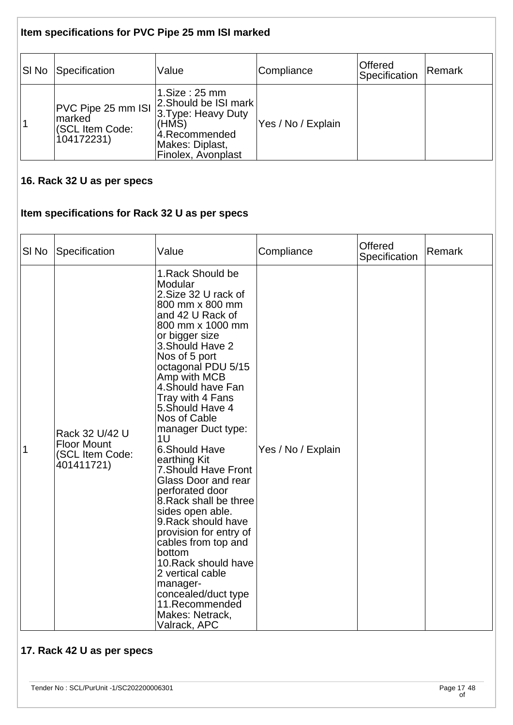# **Item specifications for PVC Pipe 25 mm ISI marked**

| SI No | Specification                                                 | Value                                                                                                                           | Compliance         | <b>Offered</b><br>Specification | Remark |
|-------|---------------------------------------------------------------|---------------------------------------------------------------------------------------------------------------------------------|--------------------|---------------------------------|--------|
|       | PVC Pipe 25 mm ISI<br>marked<br>(SCL Item Code:<br>104172231) | 1.Size:25 mm<br>2. Should be ISI mark<br>3. Type: Heavy Duty<br>(HMS)<br>4.Recommended<br>Makes: Diplast,<br>Finolex, Avonplast | Yes / No / Explain |                                 |        |

#### **16. Rack 32 U as per specs**

#### **Item specifications for Rack 32 U as per specs**

| SI <sub>No</sub> | Specification                                                         | Value                                                                                                                                                                                                                                                                                                                                                                                                                                                                                                                                                                                                                                                                                         | Compliance         | Offered<br>Specification | Remark |
|------------------|-----------------------------------------------------------------------|-----------------------------------------------------------------------------------------------------------------------------------------------------------------------------------------------------------------------------------------------------------------------------------------------------------------------------------------------------------------------------------------------------------------------------------------------------------------------------------------------------------------------------------------------------------------------------------------------------------------------------------------------------------------------------------------------|--------------------|--------------------------|--------|
| 1                | Rack 32 U/42 U<br><b>Floor Mount</b><br>(SCL Item Code:<br>401411721) | 1. Rack Should be<br>Modular<br>2. Size 32 U rack of<br>800 mm x 800 mm<br>and 42 U Rack of<br>800 mm x 1000 mm<br>or bigger size<br>3. Should Have 2<br>Nos of 5 port<br>octagonal PDU 5/15<br>Amp with MCB<br>4. Should have Fan<br>Tray with 4 Fans<br>5. Should Have 4<br>Nos of Cable<br>manager Duct type:<br>1U<br>6.Should Have<br>earthing Kit<br>7. Should Have Front<br>Glass Door and rear<br>perforated door<br>8. Rack shall be three<br>sides open able.<br>9. Rack should have<br>provision for entry of<br>cables from top and<br>bottom<br>10. Rack should have<br>2 vertical cable<br>manager-<br>concealed/duct type<br>11.Recommended<br>Makes: Netrack,<br>Valrack, APC | Yes / No / Explain |                          |        |

# **17. Rack 42 U as per specs**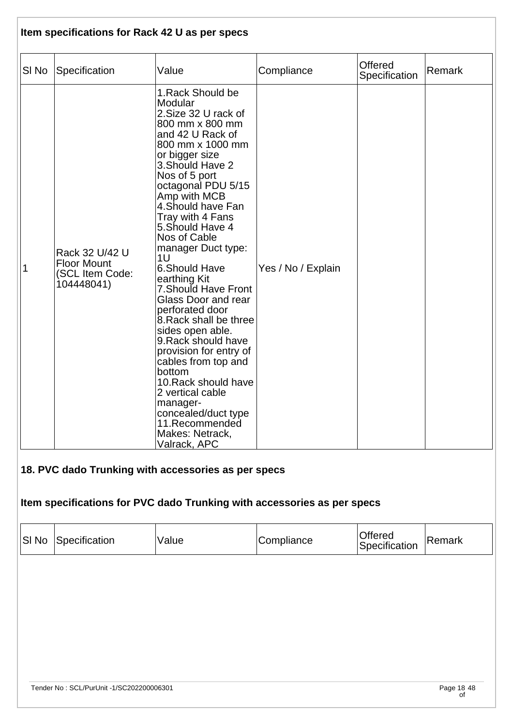| Item specifications for Rack 42 U as per specs |                                                                       |                                                                                                                                                                                                                                                                                                                                                                                                                                                                                                                                                                                                                                                                                               |                    |                                 |        |  |
|------------------------------------------------|-----------------------------------------------------------------------|-----------------------------------------------------------------------------------------------------------------------------------------------------------------------------------------------------------------------------------------------------------------------------------------------------------------------------------------------------------------------------------------------------------------------------------------------------------------------------------------------------------------------------------------------------------------------------------------------------------------------------------------------------------------------------------------------|--------------------|---------------------------------|--------|--|
| SI No                                          | Specification                                                         | Value                                                                                                                                                                                                                                                                                                                                                                                                                                                                                                                                                                                                                                                                                         | Compliance         | <b>Offered</b><br>Specification | Remark |  |
| 1                                              | Rack 32 U/42 U<br><b>Floor Mount</b><br>(SCL Item Code:<br>104448041) | 1. Rack Should be<br>Modular<br>2. Size 32 U rack of<br>800 mm x 800 mm<br>and 42 U Rack of<br>800 mm x 1000 mm<br>or bigger size<br>3. Should Have 2<br>Nos of 5 port<br>octagonal PDU 5/15<br>Amp with MCB<br>4. Should have Fan<br>Tray with 4 Fans<br>5. Should Have 4<br>Nos of Cable<br>manager Duct type:<br>1U<br>6.Should Have<br>earthing Kit<br>7. Should Have Front<br>Glass Door and rear<br>perforated door<br>8. Rack shall be three<br>sides open able.<br>9. Rack should have<br>provision for entry of<br>cables from top and<br>bottom<br>10. Rack should have<br>2 vertical cable<br>manager-<br>concealed/duct type<br>11.Recommended<br>Makes: Netrack,<br>Valrack, APC | Yes / No / Explain |                                 |        |  |
|                                                |                                                                       | 18. PVC dado Trunking with accessories as per specs                                                                                                                                                                                                                                                                                                                                                                                                                                                                                                                                                                                                                                           |                    |                                 |        |  |
|                                                |                                                                       | Item specifications for PVC dado Trunking with accessories as per specs                                                                                                                                                                                                                                                                                                                                                                                                                                                                                                                                                                                                                       |                    |                                 |        |  |
| SI <sub>No</sub>                               | Specification                                                         | Value                                                                                                                                                                                                                                                                                                                                                                                                                                                                                                                                                                                                                                                                                         | Compliance         | <b>Offered</b><br>Specification | Remark |  |
|                                                |                                                                       |                                                                                                                                                                                                                                                                                                                                                                                                                                                                                                                                                                                                                                                                                               |                    |                                 |        |  |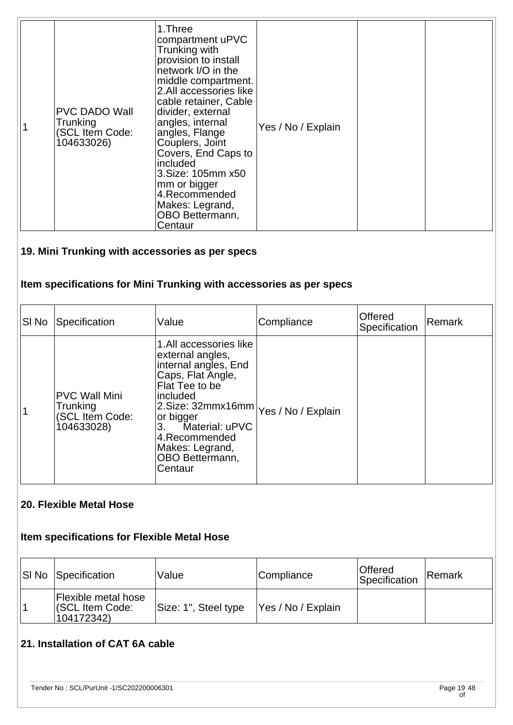|  | PVC DADO Wall<br>Trunking<br>(SCL Item Code:<br>104633026) | 1.Three<br>compartment uPVC<br>Trunking with<br>provision to install<br>network I/O in the<br>middle compartment.<br>2.All accessories like<br>cable retainer, Cable<br>divider, external<br>angles, internal<br>angles, Flange<br>Couplers, Joint<br>Covers, End Caps to<br>included<br>3. Size: 105mm x50<br>mm or bigger<br>4.Recommended<br>Makes: Legrand,<br>OBO Bettermann,<br>Centaur | Yes / No / Explain |  |  |
|--|------------------------------------------------------------|-----------------------------------------------------------------------------------------------------------------------------------------------------------------------------------------------------------------------------------------------------------------------------------------------------------------------------------------------------------------------------------------------|--------------------|--|--|
|--|------------------------------------------------------------|-----------------------------------------------------------------------------------------------------------------------------------------------------------------------------------------------------------------------------------------------------------------------------------------------------------------------------------------------------------------------------------------------|--------------------|--|--|

# **19. Mini Trunking with accessories as per specs**

# **Item specifications for Mini Trunking with accessories as per specs**

| SI No | Specification                                                            | Value                                                                                                                                                                                                                                                                | Compliance | Offered<br>Specification | Remark |
|-------|--------------------------------------------------------------------------|----------------------------------------------------------------------------------------------------------------------------------------------------------------------------------------------------------------------------------------------------------------------|------------|--------------------------|--------|
| 1     | <b>PVC Wall Mini</b><br><b>Trunking</b><br>(SCL Item Code:<br>104633028) | 1.All accessories like<br>external angles,<br>internal angles, End<br>Caps, Flat Angle,<br>Flat Tee to be<br>included<br>2.Size: 32mmx16mm Yes / No / Explain<br>or bigger<br>Material: uPVC<br>3.<br>4.Recommended<br>Makes: Legrand,<br>OBO Bettermann,<br>Centaur |            |                          |        |

#### **20. Flexible Metal Hose**

#### **Item specifications for Flexible Metal Hose**

| <b>SI No Specification</b>                                         | Value                | Compliance         | <b>Offered</b><br>Specification | Remark |
|--------------------------------------------------------------------|----------------------|--------------------|---------------------------------|--------|
| <b>Flexible metal hose</b><br><b>(SCL Item Code:</b><br>104172342) | Size: 1", Steel type | Yes / No / Explain |                                 |        |

# **21. Installation of CAT 6A cable**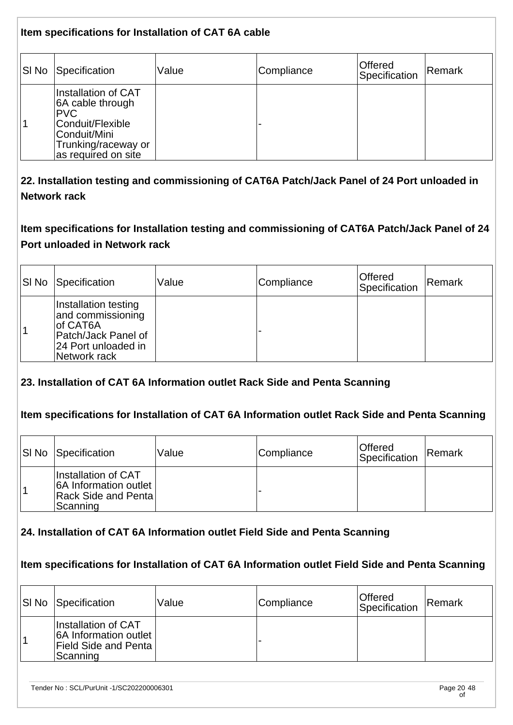**Item specifications for Installation of CAT 6A cable** SI No Specification Value Compliance Constitution Conservation Specification Remark 1 Installation of CAT 6A cable through PVC Conduit/Flexible Conduit/Mini Trunking/raceway or as required on site -

**22. Installation testing and commissioning of CAT6A Patch/Jack Panel of 24 Port unloaded in Network rack** 

**Item specifications for Installation testing and commissioning of CAT6A Patch/Jack Panel of 24 Port unloaded in Network rack**

| SI No Specification                                                                                                  | Value | Compliance | Offered<br>Specification | Remark |
|----------------------------------------------------------------------------------------------------------------------|-------|------------|--------------------------|--------|
| Installation testing<br>and commissioning<br>lof CAT6A<br>Patch/Jack Panel of<br>24 Port unloaded in<br>Network rack |       |            |                          |        |

### **23. Installation of CAT 6A Information outlet Rack Side and Penta Scanning**

#### **Item specifications for Installation of CAT 6A Information outlet Rack Side and Penta Scanning**

| SI No Specification                                                                     | Value | Compliance | ∣Offered<br>Specification | Remark |
|-----------------------------------------------------------------------------------------|-------|------------|---------------------------|--------|
| Installation of CAT<br>6A Information outlet<br><b>Rack Side and Pental</b><br>Scanning |       |            |                           |        |

#### **24. Installation of CAT 6A Information outlet Field Side and Penta Scanning**

#### **Item specifications for Installation of CAT 6A Information outlet Field Side and Penta Scanning**

| SI No Specification                                                                     | Value | Compliance | ∣Offered<br>Specification | Remark |
|-----------------------------------------------------------------------------------------|-------|------------|---------------------------|--------|
| Installation of CAT<br>6A Information outlet<br><b>Field Side and Penta</b><br>Scanning |       |            |                           |        |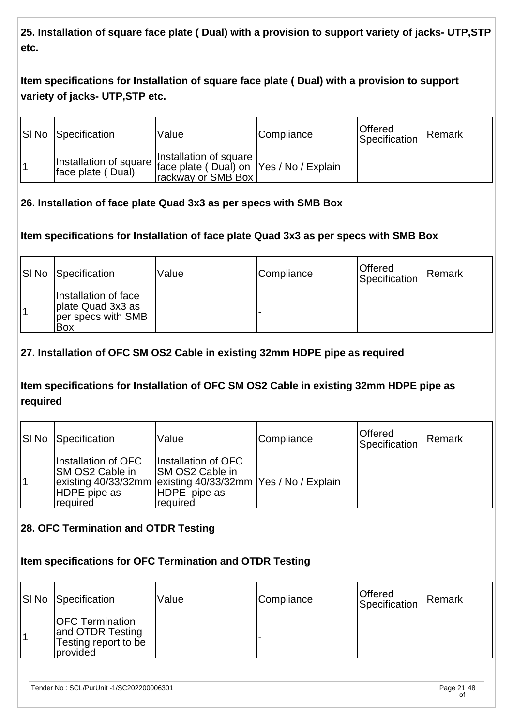**25. Installation of square face plate ( Dual) with a provision to support variety of jacks- UTP,STP etc.** 

# **Item specifications for Installation of square face plate ( Dual) with a provision to support variety of jacks- UTP,STP etc.**

| <b>SI No Specification</b> | Value                                                                                                          | Compliance | Offered<br>Specification | <b>Remark</b> |
|----------------------------|----------------------------------------------------------------------------------------------------------------|------------|--------------------------|---------------|
| face plate (Dual)          | Installation of square<br>Installation of square face plate (Dual) on Yes / No / Explain<br>rackway or SMB Box |            |                          |               |

### **26. Installation of face plate Quad 3x3 as per specs with SMB Box**

### **Item specifications for Installation of face plate Quad 3x3 as per specs with SMB Box**

| <b>SI No Specification</b>                                             | Value | Compliance | <b>Offered</b><br>Specification | <b>Remark</b> |
|------------------------------------------------------------------------|-------|------------|---------------------------------|---------------|
| Installation of face<br>plate Quad 3x3 as<br>per specs with SMB<br>Box |       |            |                                 |               |

### **27. Installation of OFC SM OS2 Cable in existing 32mm HDPE pipe as required**

### **Item specifications for Installation of OFC SM OS2 Cable in existing 32mm HDPE pipe as required**

| <b>SI No Specification</b>                                                                                                          | Value                                                               | Compliance | <b>Offered</b><br>Specification | Remark |
|-------------------------------------------------------------------------------------------------------------------------------------|---------------------------------------------------------------------|------------|---------------------------------|--------|
| Installation of OFC<br>ISM OS2 Cable in<br>existing 40/33/32mm existing 40/33/32mm   Yes / No / Explain<br>HDPE pipe as<br>required | Installation of OFC<br>ISM OS2 Cable in<br>HDPE pipe as<br>required |            |                                 |        |

## **28. OFC Termination and OTDR Testing**

#### **Item specifications for OFC Termination and OTDR Testing**

| <b>SI No Specification</b>                                                     | Value | Compliance | Offered<br>Specification | Remark |
|--------------------------------------------------------------------------------|-------|------------|--------------------------|--------|
| <b>OFC Termination</b><br>and OTDR Testing<br>Testing report to be<br>provided |       |            |                          |        |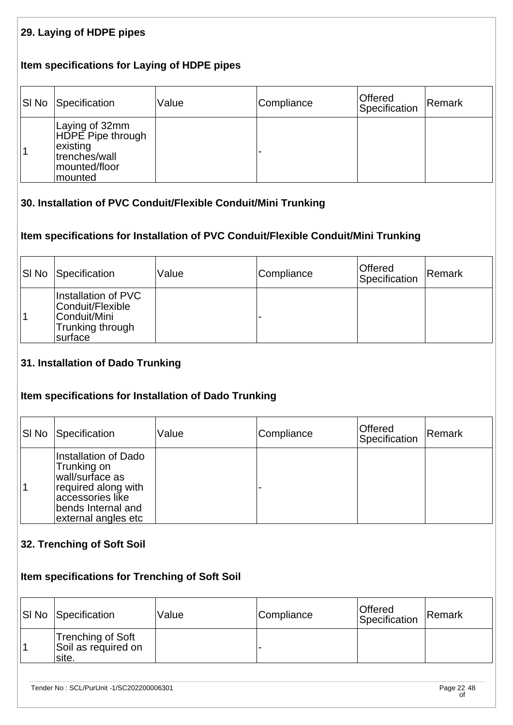### **29. Laying of HDPE pipes**

#### **Item specifications for Laying of HDPE pipes**

| <b>SI No Specification</b>                                                                   | Value | Compliance | Offered<br>Specification | Remark |
|----------------------------------------------------------------------------------------------|-------|------------|--------------------------|--------|
| Laying of 32mm<br>HDPE Pipe through<br>existing<br>trenches/wall<br>mounted/floor<br>mounted |       |            |                          |        |

#### **30. Installation of PVC Conduit/Flexible Conduit/Mini Trunking**

#### **Item specifications for Installation of PVC Conduit/Flexible Conduit/Mini Trunking**

| <b>SI No Specification</b>                                                                     | Value | Compliance | Offered<br>Specification | Remark |
|------------------------------------------------------------------------------------------------|-------|------------|--------------------------|--------|
| Installation of PVC<br>Conduit/Flexible<br> Conduit/Mini<br>Trunking through<br><b>Surface</b> |       |            |                          |        |

#### **31. Installation of Dado Trunking**

#### **Item specifications for Installation of Dado Trunking**

| SI No | Specification                                                                                                                                  | Value | Compliance | <b>Offered</b><br>Specification | Remark |
|-------|------------------------------------------------------------------------------------------------------------------------------------------------|-------|------------|---------------------------------|--------|
|       | Installation of Dado<br>Trunking on<br>wall/surface as<br>required along with<br>accessories like<br>bends Internal and<br>external angles etc |       |            |                                 |        |

#### **32. Trenching of Soft Soil**

# **Item specifications for Trenching of Soft Soil**

| <b>SI No Specification</b>                         | Value | Compliance | <b>Offered</b><br>Specification | Remark |
|----------------------------------------------------|-------|------------|---------------------------------|--------|
| Trenching of Soft<br>Soil as required on<br>'site. |       |            |                                 |        |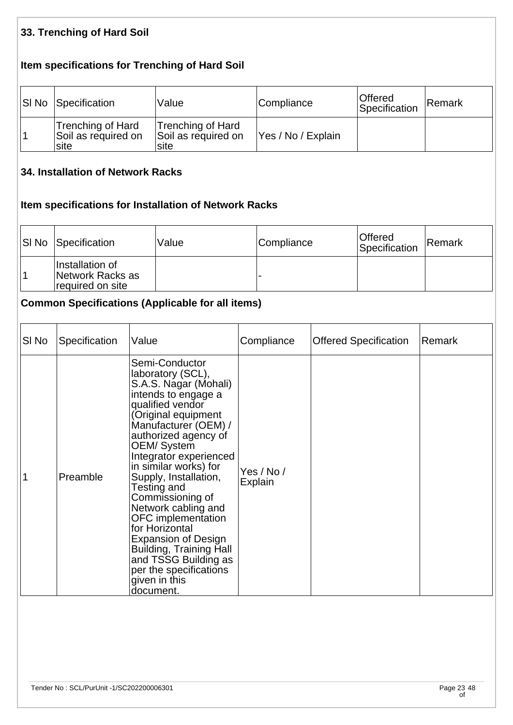### **33. Trenching of Hard Soil**

## **Item specifications for Trenching of Hard Soil**

| <b>SI No Specification</b>                       | Value                                            | Compliance         | Offered<br>Specification | Remark |
|--------------------------------------------------|--------------------------------------------------|--------------------|--------------------------|--------|
| Trenching of Hard<br>Soil as required on<br>site | Trenching of Hard<br>Soil as required on<br>site | Yes / No / Explain |                          |        |

#### **34. Installation of Network Racks**

## **Item specifications for Installation of Network Racks**

| <b>SI No Specification</b>                              | Value | Compliance | <b>Offered</b><br>Specification | Remark |
|---------------------------------------------------------|-------|------------|---------------------------------|--------|
| Installation of<br>Network Racks as<br>required on site |       |            |                                 |        |

# **Common Specifications (Applicable for all items)**

| SI No | Specification | Value                                                                                                                                                                                                                                                                                                                                                                                                                                                                                                                      | Compliance            | <b>Offered Specification</b> | Remark |
|-------|---------------|----------------------------------------------------------------------------------------------------------------------------------------------------------------------------------------------------------------------------------------------------------------------------------------------------------------------------------------------------------------------------------------------------------------------------------------------------------------------------------------------------------------------------|-----------------------|------------------------------|--------|
|       | Preamble      | Semi-Conductor<br>laboratory (SCL),<br>S.A.S. Nagar (Mohali)<br>intends to engage a<br>qualified vendor<br>(Original equipment<br>Manufacturer (OEM) /<br>authorized agency of<br>OEM/System<br>Integrator experienced<br>in similar works) for<br>Supply, Installation,<br>Testing and<br>Commissioning of<br>Network cabling and<br>OFC implementation<br>for Horizontal<br><b>Expansion of Design</b><br><b>Building, Training Hall</b><br>and TSSG Building as<br>per the specifications<br>given in this<br>document. | Yes / No /<br>Explain |                              |        |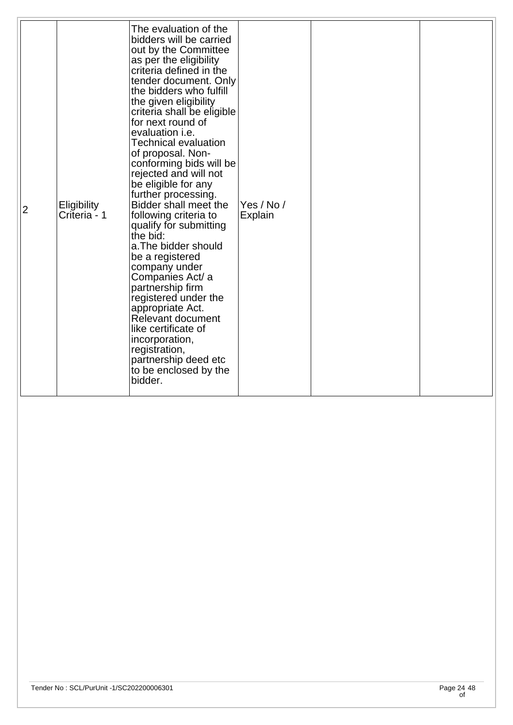|  | $\overline{2}$ | Eligibility<br>Criteria - 1 | The evaluation of the<br>bidders will be carried<br>out by the Committee<br>as per the eligibility<br>criteria defined in the<br>tender document. Only<br>the bidders who fulfill<br>the given eligibility<br>criteria shall be eligible<br>for next round of<br>evaluation <i>i.e.</i><br><b>Technical evaluation</b><br>of proposal. Non-<br>conforming bids will be<br>rejected and will not<br>be eligible for any<br>further processing.<br>Bidder shall meet the<br>following criteria to<br>qualify for submitting<br>the bid:<br>a. The bidder should<br>be a registered<br>company under<br>Companies Act/ a<br>partnership firm<br>registered under the<br>appropriate Act.<br>Relevant document<br>like certificate of<br>incorporation,<br>registration,<br>partnership deed etc<br>to be enclosed by the<br>bidder. | Yes / No /<br>Explain |  |  |
|--|----------------|-----------------------------|----------------------------------------------------------------------------------------------------------------------------------------------------------------------------------------------------------------------------------------------------------------------------------------------------------------------------------------------------------------------------------------------------------------------------------------------------------------------------------------------------------------------------------------------------------------------------------------------------------------------------------------------------------------------------------------------------------------------------------------------------------------------------------------------------------------------------------|-----------------------|--|--|
|--|----------------|-----------------------------|----------------------------------------------------------------------------------------------------------------------------------------------------------------------------------------------------------------------------------------------------------------------------------------------------------------------------------------------------------------------------------------------------------------------------------------------------------------------------------------------------------------------------------------------------------------------------------------------------------------------------------------------------------------------------------------------------------------------------------------------------------------------------------------------------------------------------------|-----------------------|--|--|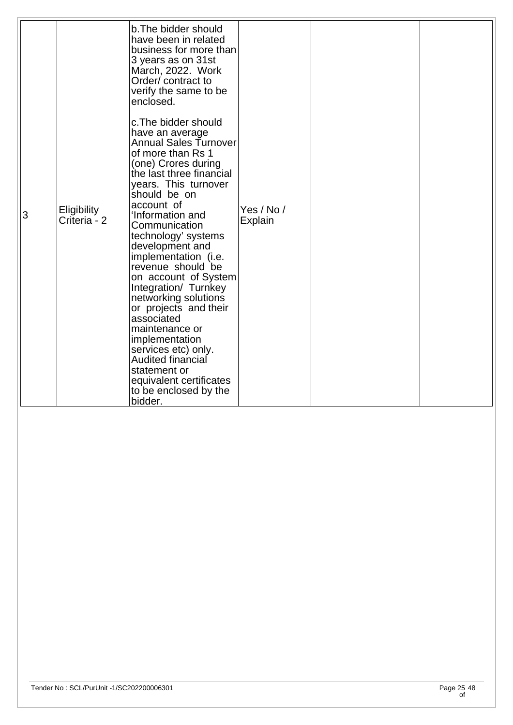|   |                                    | b. The bidder should<br>have been in related<br>business for more than<br>3 years as on 31st<br>March, 2022. Work<br>Order/contract to<br>verify the same to be<br>enclosed.<br>c. The bidder should                                                                                                                                                                                                                                                                                                                                                                  |                       |  |
|---|------------------------------------|-----------------------------------------------------------------------------------------------------------------------------------------------------------------------------------------------------------------------------------------------------------------------------------------------------------------------------------------------------------------------------------------------------------------------------------------------------------------------------------------------------------------------------------------------------------------------|-----------------------|--|
| 3 | <b>Eligibility</b><br>Criteria - 2 | have an average<br>Annual Sales Turnover<br>of more than Rs 1<br>(one) Crores during<br>the last three financial<br>years. This turnover<br>should be on<br>account of<br>'Information and<br>Communication<br>technology' systems<br>development and<br>implementation (i.e.<br>revenue should be<br>on account of System<br>Integration/ Turnkey<br>networking solutions<br>or projects and their<br>associated<br>maintenance or<br>implementation<br>services etc) only.<br>Audited financial<br>statement or<br>equivalent certificates<br>to be enclosed by the | Yes / No /<br>Explain |  |
|   |                                    | bidder.                                                                                                                                                                                                                                                                                                                                                                                                                                                                                                                                                               |                       |  |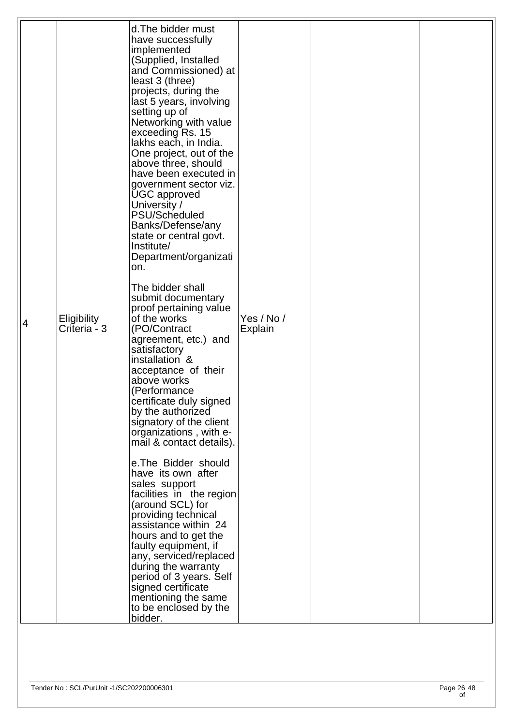| 4 | Eligibility<br>Criteria - 3 | d. The bidder must<br>have successfully<br>implemented<br>(Supplied, Installed<br>and Commissioned) at<br>least 3 (three)<br>projects, during the<br>last 5 years, involving<br>setting up of<br>Networking with value<br>exceeding Rs. 15<br>lakhs each, in India.<br>One project, out of the<br>above three, should<br>have been executed in<br>government sector viz.<br><b>UGC</b> approved<br>University /<br>PSU/Scheduled<br>Banks/Defense/any<br>state or central govt.<br>Institute/<br>Department/organizati<br>on.<br>The bidder shall<br>submit documentary<br>proof pertaining value<br>of the works<br>(PO/Contract<br>agreement, etc.) and<br>satisfactory<br>installation &<br>acceptance of their<br>above works<br>(Performance<br>certificate duly signed<br>by the authorized<br>signatory of the client<br>organizations, with e-<br>mail & contact details).<br>e. The Bidder should<br>have its own after<br>sales support | Yes / No /<br>Explain |  |
|---|-----------------------------|---------------------------------------------------------------------------------------------------------------------------------------------------------------------------------------------------------------------------------------------------------------------------------------------------------------------------------------------------------------------------------------------------------------------------------------------------------------------------------------------------------------------------------------------------------------------------------------------------------------------------------------------------------------------------------------------------------------------------------------------------------------------------------------------------------------------------------------------------------------------------------------------------------------------------------------------------|-----------------------|--|
|   |                             | facilities in the region<br>(around SCL) for<br>providing technical<br>assistance within 24<br>hours and to get the<br>faulty equipment, if<br>any, serviced/replaced<br>during the warranty<br>period of 3 years. Self<br>signed certificate<br>mentioning the same<br>to be enclosed by the<br>bidder.                                                                                                                                                                                                                                                                                                                                                                                                                                                                                                                                                                                                                                          |                       |  |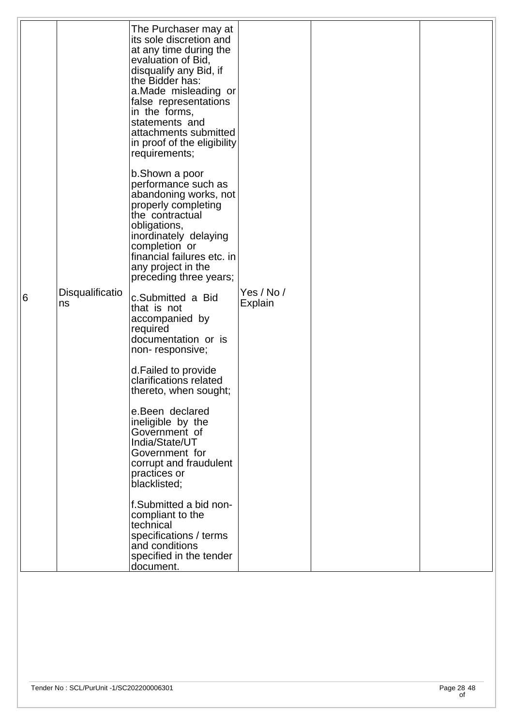| 6 | Disqualificatio<br>ns | The Purchaser may at<br>its sole discretion and<br>at any time during the<br>evaluation of Bid,<br>disqualify any Bid, if<br>the Bidder has:<br>a.Made misleading or<br>false representations<br>in the forms,<br>statements and<br>attachments submitted<br>in proof of the eligibility<br>requirements;<br>b.Shown a poor<br>performance such as<br>abandoning works, not<br>properly completing<br>the contractual<br>obligations,<br>inordinately delaying<br>completion or<br>financial failures etc. in<br>any project in the<br>preceding three years;<br>c.Submitted a Bid<br>that is not<br>accompanied by<br>required<br>documentation or is<br>non-responsive;<br>d. Failed to provide<br>clarifications related<br>thereto, when sought;<br>e.Been declared<br>ineligible by the<br>Government of<br>India/State/UT<br>Government for<br>corrupt and fraudulent<br>practices or<br>blacklisted;<br>f.Submitted a bid non-<br>compliant to the | Yes / No /<br><b>Explain</b> |  |
|---|-----------------------|-----------------------------------------------------------------------------------------------------------------------------------------------------------------------------------------------------------------------------------------------------------------------------------------------------------------------------------------------------------------------------------------------------------------------------------------------------------------------------------------------------------------------------------------------------------------------------------------------------------------------------------------------------------------------------------------------------------------------------------------------------------------------------------------------------------------------------------------------------------------------------------------------------------------------------------------------------------|------------------------------|--|
|   |                       | technical<br>specifications / terms<br>and conditions<br>specified in the tender<br>document.                                                                                                                                                                                                                                                                                                                                                                                                                                                                                                                                                                                                                                                                                                                                                                                                                                                             |                              |  |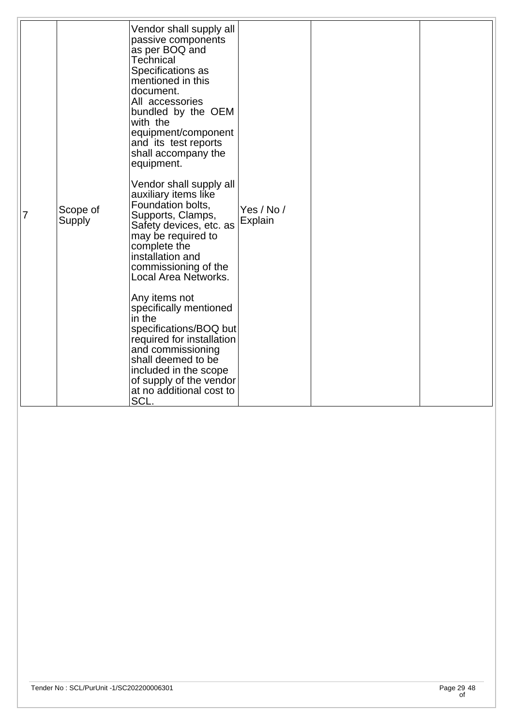|   |                    | Vendor shall supply all<br>passive components<br>as per BOQ and<br><b>Technical</b><br>Specifications as<br>mentioned in this<br>document.<br>All accessories<br>bundled by the OEM<br>with the<br>equipment/component<br>and its test reports<br>shall accompany the<br>equipment. |                       |  |
|---|--------------------|-------------------------------------------------------------------------------------------------------------------------------------------------------------------------------------------------------------------------------------------------------------------------------------|-----------------------|--|
| 7 | Scope of<br>Supply | Vendor shall supply all<br>auxiliary items like<br>Foundation bolts,<br>Supports, Clamps,<br>Safety devices, etc. as<br>may be required to<br>complete the<br>installation and<br>commissioning of the<br>Local Area Networks.                                                      | Yes / No /<br>Explain |  |
|   |                    | Any items not<br>specifically mentioned<br>in the<br>specifications/BOQ but<br>required for installation<br>and commissioning<br>shall deemed to be<br>included in the scope<br>of supply of the vendor<br>at no additional cost to<br>SCL.                                         |                       |  |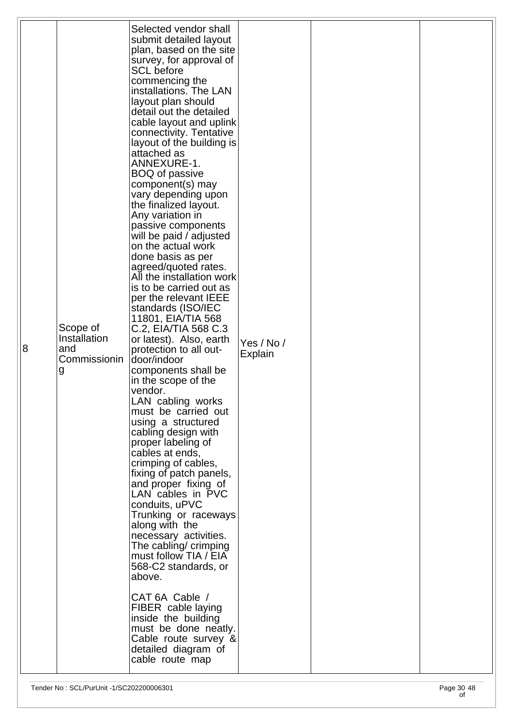| 8 | Scope of<br>Installation<br>and<br>Commissionin<br>g | Selected vendor shall<br>submit detailed layout<br>plan, based on the site<br>survey, for approval of<br><b>SCL</b> before<br>commencing the<br>installations. The LAN<br>layout plan should<br>detail out the detailed<br>cable layout and uplink<br>connectivity. Tentative<br>layout of the building is<br>attached as<br>ANNEXURE-1.<br><b>BOQ of passive</b><br>component(s) may<br>vary depending upon<br>the finalized layout.<br>Any variation in<br>passive components<br>will be paid / adjusted<br>on the actual work<br>done basis as per<br>agreed/quoted rates.<br>All the installation work<br>is to be carried out as<br>per the relevant IEEE<br>standards (ISO/IEC<br>11801, EIA/TIA 568<br>C.2, EIA/TIA 568 C.3<br>or latest). Also, earth<br>protection to all out-<br>door/indoor<br>components shall be<br>in the scope of the<br>vendor.<br>LAN cabling works<br>must be carried out<br>using a structured<br>cabling design with<br>proper labeling of<br>cables at ends,<br>crimping of cables,<br>fixing of patch panels,<br>and proper fixing of<br>LAN cables in PVC<br>conduits, uPVC<br>Trunking or raceways<br>along with the<br>necessary activities.<br>The cabling/ crimping<br>must follow TIA / EIA<br>568-C2 standards, or<br>above.<br>CAT 6A Cable /<br>FIBER cable laying<br>inside the building<br>must be done neatly. | Yes / No /<br>Explain |  |
|---|------------------------------------------------------|------------------------------------------------------------------------------------------------------------------------------------------------------------------------------------------------------------------------------------------------------------------------------------------------------------------------------------------------------------------------------------------------------------------------------------------------------------------------------------------------------------------------------------------------------------------------------------------------------------------------------------------------------------------------------------------------------------------------------------------------------------------------------------------------------------------------------------------------------------------------------------------------------------------------------------------------------------------------------------------------------------------------------------------------------------------------------------------------------------------------------------------------------------------------------------------------------------------------------------------------------------------------------------------------------------------------------------------------------------------|-----------------------|--|
|   |                                                      | Cable route survey &<br>detailed diagram of<br>cable route map                                                                                                                                                                                                                                                                                                                                                                                                                                                                                                                                                                                                                                                                                                                                                                                                                                                                                                                                                                                                                                                                                                                                                                                                                                                                                                   |                       |  |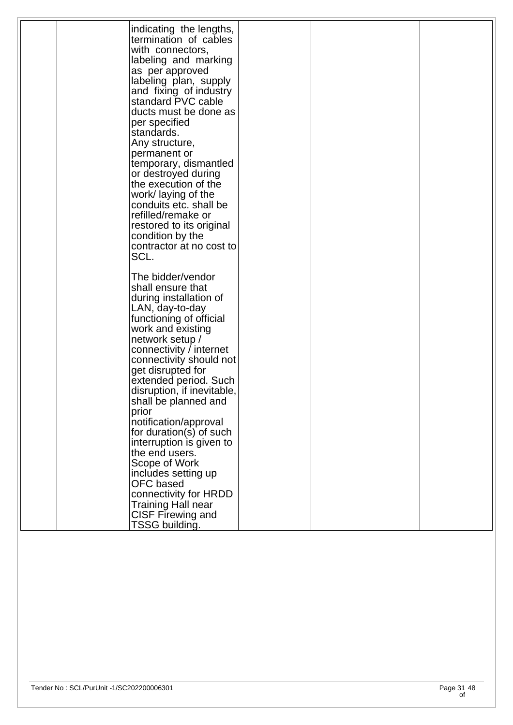| indicating the lengths,    |  |  |
|----------------------------|--|--|
| termination of cables      |  |  |
| with connectors,           |  |  |
| labeling and marking       |  |  |
| as per approved            |  |  |
|                            |  |  |
| labeling plan, supply      |  |  |
| and fixing of industry     |  |  |
| standard PVC cable         |  |  |
| ducts must be done as      |  |  |
| per specified              |  |  |
| standards.                 |  |  |
| Any structure,             |  |  |
| permanent or               |  |  |
| temporary, dismantled      |  |  |
| or destroyed during        |  |  |
| the execution of the       |  |  |
| work/laying of the         |  |  |
| conduits etc. shall be     |  |  |
| refilled/remake or         |  |  |
|                            |  |  |
| restored to its original   |  |  |
| condition by the           |  |  |
| contractor at no cost to   |  |  |
| SCL.                       |  |  |
|                            |  |  |
| The bidder/vendor          |  |  |
| shall ensure that          |  |  |
| during installation of     |  |  |
| LAN, day-to-day            |  |  |
| functioning of official    |  |  |
| work and existing          |  |  |
| network setup /            |  |  |
| connectivity / internet    |  |  |
| connectivity should not    |  |  |
|                            |  |  |
| get disrupted for          |  |  |
| extended period. Such      |  |  |
| disruption, if inevitable, |  |  |
| shall be planned and       |  |  |
| prior                      |  |  |
| notification/approval      |  |  |
| for duration(s) of such    |  |  |
| interruption is given to   |  |  |
| the end users.             |  |  |
| Scope of Work              |  |  |
| includes setting up        |  |  |
| OFC based                  |  |  |
| connectivity for HRDD      |  |  |
| Training Hall near         |  |  |
|                            |  |  |
| CISF Firewing and          |  |  |
| TSSG building.             |  |  |
|                            |  |  |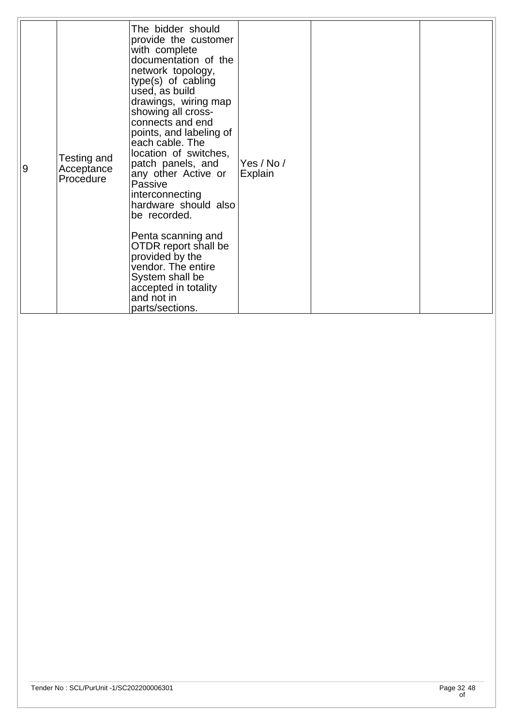| 9 | Testing and<br>Acceptance<br>Procedure | The bidder should<br>provide the customer<br>with complete<br>documentation of the<br>network topology,<br>type(s) of cabling<br>used, as build<br>drawings, wiring map<br>showing all cross-<br>connects and end<br>points, and labeling of<br>each cable. The<br>location of switches,<br>patch panels, and<br>any other Active or<br>Passive<br>interconnecting<br>hardware should also<br>be recorded.<br>Penta scanning and<br>OTDR report shall be<br>provided by the<br>vendor. The entire<br>System shall be<br>accepted in totality<br>and not in<br>parts/sections. | Yes / No /<br><b>Explain</b> |  |  |
|---|----------------------------------------|-------------------------------------------------------------------------------------------------------------------------------------------------------------------------------------------------------------------------------------------------------------------------------------------------------------------------------------------------------------------------------------------------------------------------------------------------------------------------------------------------------------------------------------------------------------------------------|------------------------------|--|--|
|---|----------------------------------------|-------------------------------------------------------------------------------------------------------------------------------------------------------------------------------------------------------------------------------------------------------------------------------------------------------------------------------------------------------------------------------------------------------------------------------------------------------------------------------------------------------------------------------------------------------------------------------|------------------------------|--|--|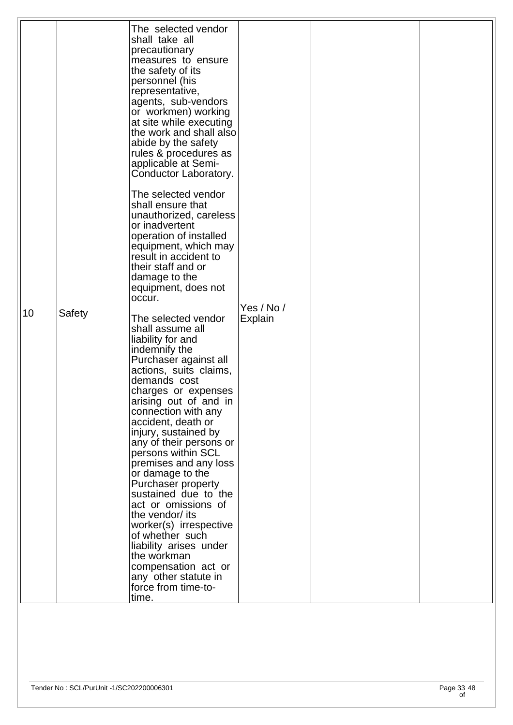|    |        | The selected vendor                             |            |  |
|----|--------|-------------------------------------------------|------------|--|
|    |        | shall take all<br>precautionary                 |            |  |
|    |        | measures to ensure<br>the safety of its         |            |  |
|    |        | personnel (his                                  |            |  |
|    |        | representative,<br>agents, sub-vendors          |            |  |
|    |        | or workmen) working<br>at site while executing  |            |  |
|    |        | the work and shall also<br>abide by the safety  |            |  |
|    |        | rules & procedures as                           |            |  |
|    |        | applicable at Semi-<br>Conductor Laboratory.    |            |  |
|    |        | The selected vendor                             |            |  |
|    |        | shall ensure that<br>unauthorized, careless     |            |  |
|    |        | or inadvertent<br>operation of installed        |            |  |
|    |        | equipment, which may<br>result in accident to   |            |  |
|    |        | their staff and or                              |            |  |
|    |        | damage to the<br>equipment, does not            |            |  |
| 10 | Safety | occur.                                          | Yes / No / |  |
|    |        | The selected vendor<br>shall assume all         | Explain    |  |
|    |        | liability for and<br>indemnify the              |            |  |
|    |        | Purchaser against all<br>actions, suits claims, |            |  |
|    |        | demands cost                                    |            |  |
|    |        | charges or expenses<br>arising out of and in    |            |  |
|    |        | connection with any<br>accident, death or       |            |  |
|    |        | injury, sustained by<br>any of their persons or |            |  |
|    |        | persons within SCL                              |            |  |
|    |        | premises and any loss<br>or damage to the       |            |  |
|    |        | Purchaser property<br>sustained due to the      |            |  |
|    |        | act or omissions of<br>the vendor/ its          |            |  |
|    |        | worker(s) irrespective<br>of whether such       |            |  |
|    |        | liability arises under<br>the workman           |            |  |
|    |        | compensation act or                             |            |  |
|    |        | any other statute in<br>force from time-to-     |            |  |
|    |        | time.                                           |            |  |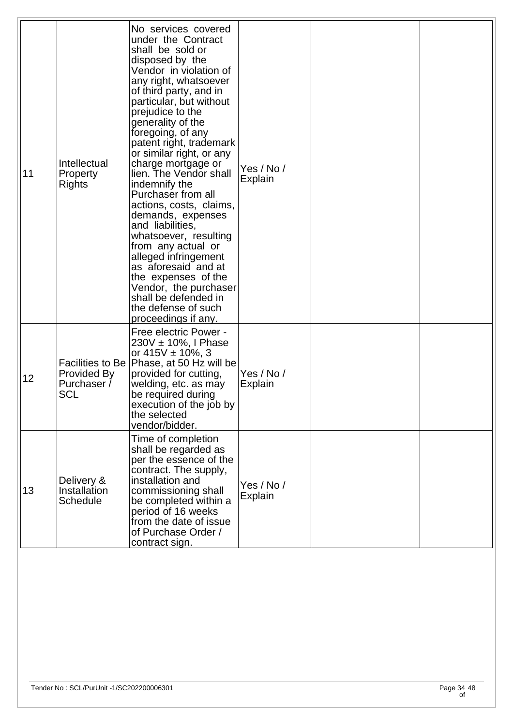| 11 | Intellectual<br>Property<br><b>Rights</b>                    | No services covered<br>under the Contract<br>shall be sold or<br>disposed by the<br>Vendor in violation of<br>any right, whatsoever<br>of third party, and in<br>particular, but without<br>prejudice to the<br>generality of the<br>foregoing, of any<br>patent right, trademark<br>or similar right, or any<br>charge mortgage or<br>lien. The Vendor shall<br>indemnify the<br>Purchaser from all<br>actions, costs, claims,<br>demands, expenses<br>and liabilities,<br>whatsoever, resulting<br>from any actual or<br>alleged infringement<br>as aforesaid and at<br>the expenses of the<br>Vendor, the purchaser<br>shall be defended in<br>the defense of such<br>proceedings if any. | Yes / No /<br>Explain        |  |
|----|--------------------------------------------------------------|----------------------------------------------------------------------------------------------------------------------------------------------------------------------------------------------------------------------------------------------------------------------------------------------------------------------------------------------------------------------------------------------------------------------------------------------------------------------------------------------------------------------------------------------------------------------------------------------------------------------------------------------------------------------------------------------|------------------------------|--|
| 12 | Facilities to Be<br>Provided By<br>Purchaser /<br><b>SCL</b> | Free electric Power -<br>$230V \pm 10\%$ , I Phase<br>or $415V \pm 10\%$ , 3<br>Phase, at 50 Hz will be<br>provided for cutting,<br>welding, etc. as may<br>be required during<br>execution of the job by<br>the selected<br>vendor/bidder.                                                                                                                                                                                                                                                                                                                                                                                                                                                  | Yes / No /<br><b>Explain</b> |  |
| 13 | Delivery &<br>Installation<br><b>Schedule</b>                | Time of completion<br>shall be regarded as<br>per the essence of the<br>contract. The supply,<br>installation and<br>commissioning shall<br>be completed within a<br>period of 16 weeks<br>from the date of issue<br>of Purchase Order /<br>contract sign.                                                                                                                                                                                                                                                                                                                                                                                                                                   | Yes / No /<br>Explain        |  |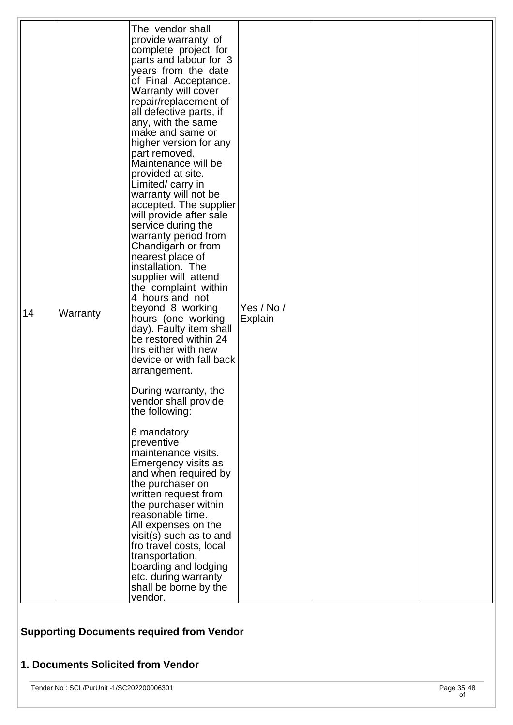| The vendor shall<br>provide warranty of<br>complete project for<br>parts and labour for 3<br>years from the date<br>of Final Acceptance.<br>Warranty will cover<br>repair/replacement of<br>all defective parts, if<br>any, with the same<br>make and same or<br>higher version for any<br>part removed.<br>Maintenance will be<br>provided at site.<br>Limited/carry in<br>warranty will not be<br>accepted. The supplier<br>will provide after sale<br>service during the<br>warranty period from<br>Chandigarh or from<br>nearest place of<br>installation. The<br>supplier will attend<br>the complaint within<br>4 hours and not<br>Yes / No /<br>beyond 8 working<br>14<br>Warranty<br>hours (one working<br>Explain<br>day). Faulty item shall<br>be restored within 24<br>hrs either with new<br>device or with fall back<br>arrangement.<br>During warranty, the<br>vendor shall provide<br>the following:<br>6 mandatory<br>preventive<br>maintenance visits.<br>Emergency visits as<br>and when required by<br>the purchaser on<br>written request from |
|--------------------------------------------------------------------------------------------------------------------------------------------------------------------------------------------------------------------------------------------------------------------------------------------------------------------------------------------------------------------------------------------------------------------------------------------------------------------------------------------------------------------------------------------------------------------------------------------------------------------------------------------------------------------------------------------------------------------------------------------------------------------------------------------------------------------------------------------------------------------------------------------------------------------------------------------------------------------------------------------------------------------------------------------------------------------|
| the purchaser within<br>reasonable time.<br>All expenses on the<br>visit(s) such as to and<br>fro travel costs, local<br>transportation,<br>boarding and lodging<br>etc. during warranty<br>shall be borne by the<br>vendor.                                                                                                                                                                                                                                                                                                                                                                                                                                                                                                                                                                                                                                                                                                                                                                                                                                       |

# **Supporting Documents required from Vendor**

# **1. Documents Solicited from Vendor**

Tender No : SCL/PurUnit -1/SC202200006301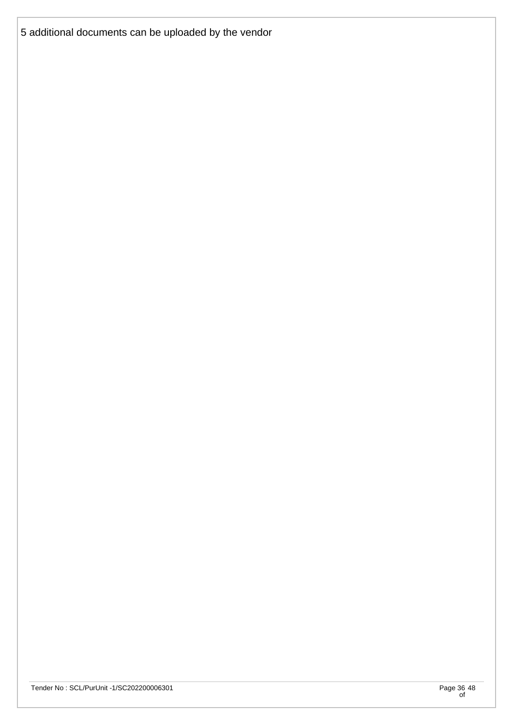5 additional documents can be uploaded by the vendor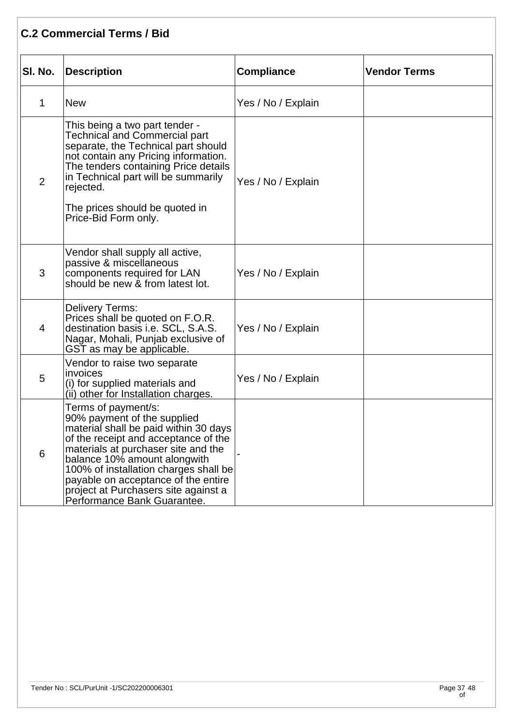|                | <b>C.2 Commercial Terms / Bid</b>                                                                                                                                                                                                                                                                                                                                 |                    |                     |  |  |  |
|----------------|-------------------------------------------------------------------------------------------------------------------------------------------------------------------------------------------------------------------------------------------------------------------------------------------------------------------------------------------------------------------|--------------------|---------------------|--|--|--|
| SI. No.        | <b>Description</b>                                                                                                                                                                                                                                                                                                                                                | <b>Compliance</b>  | <b>Vendor Terms</b> |  |  |  |
| 1              | <b>New</b>                                                                                                                                                                                                                                                                                                                                                        | Yes / No / Explain |                     |  |  |  |
| $\overline{2}$ | This being a two part tender -<br><b>Technical and Commercial part</b><br>separate, the Technical part should<br>not contain any Pricing information.<br>The tenders containing Price details<br>in Technical part will be summarily<br>rejected.<br>The prices should be quoted in<br>Price-Bid Form only.                                                       | Yes / No / Explain |                     |  |  |  |
| 3              | Vendor shall supply all active,<br>passive & miscellaneous<br>components required for LAN<br>should be new & from latest lot.                                                                                                                                                                                                                                     | Yes / No / Explain |                     |  |  |  |
| 4              | Delivery Terms:<br>Prices shall be quoted on F.O.R.<br>destination basis i.e. SCL, S.A.S.<br>Nagar, Mohali, Punjab exclusive of<br>GST as may be applicable.                                                                                                                                                                                                      | Yes / No / Explain |                     |  |  |  |
| 5              | Vendor to raise two separate<br>invoices<br>(i) for supplied materials and<br>(ii) other for Installation charges.                                                                                                                                                                                                                                                | Yes / No / Explain |                     |  |  |  |
| 6              | Terms of payment/s:<br>90% payment of the supplied<br>material shall be paid within 30 days<br>of the receipt and acceptance of the<br>materials at purchaser site and the<br>balance 10% amount alongwith<br>100% of installation charges shall be<br>payable on acceptance of the entire<br>project at Purchasers site against a<br>Performance Bank Guarantee. |                    |                     |  |  |  |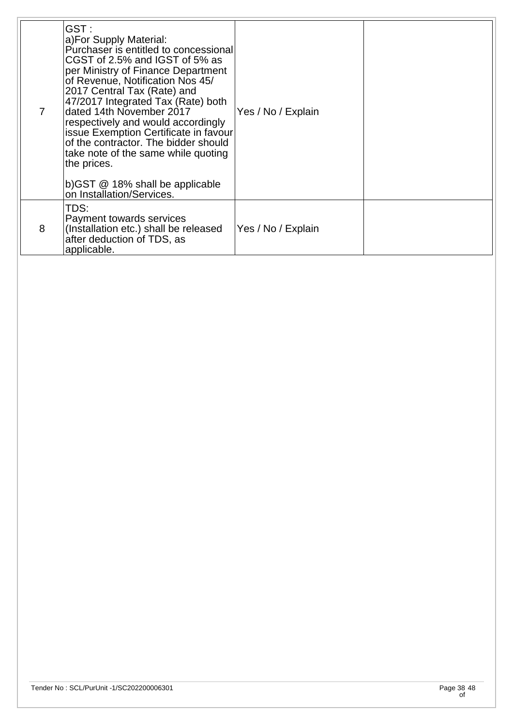| 7 | GST:<br>a)For Supply Material:<br>Purchaser is entitled to concessional<br>CGST of 2.5% and IGST of 5% as<br>per Ministry of Finance Department<br>of Revenue, Notification Nos 45/<br>2017 Central Tax (Rate) and<br>47/2017 Integrated Tax (Rate) both<br>dated 14th November 2017<br>respectively and would accordingly<br>issue Exemption Certificate in favour<br>of the contractor. The bidder should<br>take note of the same while quoting<br>the prices.<br>$(b)$ GST $@$ 18% shall be applicable<br>on Installation/Services. | Yes / No / Explain |  |
|---|-----------------------------------------------------------------------------------------------------------------------------------------------------------------------------------------------------------------------------------------------------------------------------------------------------------------------------------------------------------------------------------------------------------------------------------------------------------------------------------------------------------------------------------------|--------------------|--|
| 8 | TDS:<br>Payment towards services<br>(Installation etc.) shall be released<br>after deduction of TDS, as<br>applicable.                                                                                                                                                                                                                                                                                                                                                                                                                  | Yes / No / Explain |  |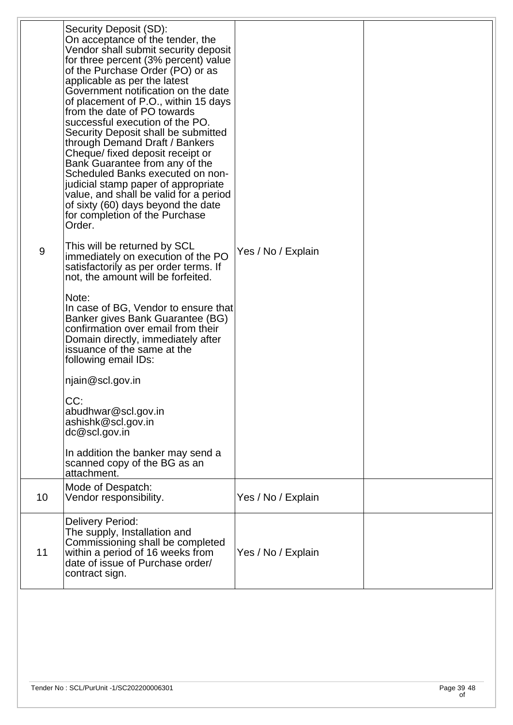| Security Deposit (SD):<br>On acceptance of the tender, the<br>Vendor shall submit security deposit<br>for three percent (3% percent) value<br>of the Purchase Order (PO) or as<br>applicable as per the latest<br>Government notification on the date<br>of placement of P.O., within 15 days<br>from the date of PO towards<br>successful execution of the PO.<br>Security Deposit shall be submitted<br>through Demand Draft / Bankers<br>Cheque/ fixed deposit receipt or<br>Bank Guarantee from any of the<br>Scheduled Banks executed on non-<br>judicial stamp paper of appropriate<br>value, and shall be valid for a period<br>of sixty (60) days beyond the date<br>for completion of the Purchase<br>Order.<br>This will be returned by SCL<br>9<br>Yes / No / Explain<br>immediately on execution of the PO<br>satisfactorily as per order terms. If<br>not, the amount will be forfeited.<br>Note:<br>In case of BG, Vendor to ensure that<br>Banker gives Bank Guarantee (BG)<br>confirmation over email from their<br>Domain directly, immediately after<br>issuance of the same at the<br>following email IDs:<br>njain@scl.gov.in<br>CC:<br>abudhwar@scl.gov.in<br>ashishk@scl.gov.in<br>dc@scl.gov.in<br>In addition the banker may send a<br>scanned copy of the BG as an<br>attachment.<br>Mode of Despatch:<br>10<br>Yes / No / Explain<br>Vendor responsibility.<br>Delivery Period:<br>The supply, Installation and<br>Commissioning shall be completed<br>11<br>within a period of 16 weeks from<br>Yes / No / Explain<br>date of issue of Purchase order/<br>contract sign. |  |  |
|-----------------------------------------------------------------------------------------------------------------------------------------------------------------------------------------------------------------------------------------------------------------------------------------------------------------------------------------------------------------------------------------------------------------------------------------------------------------------------------------------------------------------------------------------------------------------------------------------------------------------------------------------------------------------------------------------------------------------------------------------------------------------------------------------------------------------------------------------------------------------------------------------------------------------------------------------------------------------------------------------------------------------------------------------------------------------------------------------------------------------------------------------------------------------------------------------------------------------------------------------------------------------------------------------------------------------------------------------------------------------------------------------------------------------------------------------------------------------------------------------------------------------------------------------------------------------------------------------------|--|--|
|                                                                                                                                                                                                                                                                                                                                                                                                                                                                                                                                                                                                                                                                                                                                                                                                                                                                                                                                                                                                                                                                                                                                                                                                                                                                                                                                                                                                                                                                                                                                                                                                     |  |  |
|                                                                                                                                                                                                                                                                                                                                                                                                                                                                                                                                                                                                                                                                                                                                                                                                                                                                                                                                                                                                                                                                                                                                                                                                                                                                                                                                                                                                                                                                                                                                                                                                     |  |  |
|                                                                                                                                                                                                                                                                                                                                                                                                                                                                                                                                                                                                                                                                                                                                                                                                                                                                                                                                                                                                                                                                                                                                                                                                                                                                                                                                                                                                                                                                                                                                                                                                     |  |  |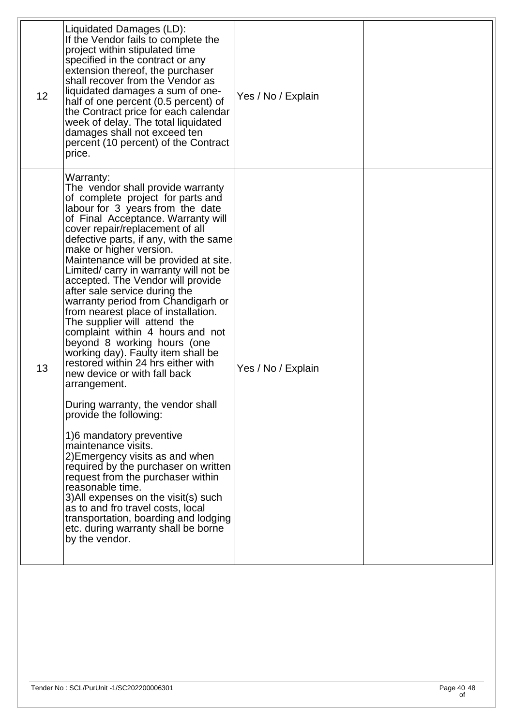| 12 | Liquidated Damages (LD):<br>If the Vendor fails to complete the<br>project within stipulated time<br>specified in the contract or any<br>extension thereof, the purchaser<br>shall recover from the Vendor as<br>liquidated damages a sum of one-<br>half of one percent (0.5 percent) of<br>the Contract price for each calendar<br>week of delay. The total liquidated<br>damages shall not exceed ten<br>percent (10 percent) of the Contract<br>price.                                                                                                                                                                                                                                                                                                                                                                                                                                                                                                                                                                                                                                                                                                                     | Yes / No / Explain |  |
|----|--------------------------------------------------------------------------------------------------------------------------------------------------------------------------------------------------------------------------------------------------------------------------------------------------------------------------------------------------------------------------------------------------------------------------------------------------------------------------------------------------------------------------------------------------------------------------------------------------------------------------------------------------------------------------------------------------------------------------------------------------------------------------------------------------------------------------------------------------------------------------------------------------------------------------------------------------------------------------------------------------------------------------------------------------------------------------------------------------------------------------------------------------------------------------------|--------------------|--|
| 13 | Warranty:<br>The vendor shall provide warranty<br>of complete project for parts and<br>labour for 3 years from the date<br>of Final Acceptance. Warranty will<br>cover repair/replacement of all<br>defective parts, if any, with the same<br>make or higher version.<br>Maintenance will be provided at site.<br>Limited/ carry in warranty will not be<br>accepted. The Vendor will provide<br>after sale service during the<br>warranty period from Chandigarh or<br>from nearest place of installation.<br>The supplier will attend the<br>complaint within 4 hours and not<br>beyond 8 working hours (one<br>working day). Faulty item shall be<br>restored within 24 hrs either with<br>new device or with fall back<br>arrangement.<br>During warranty, the vendor shall<br>provide the following:<br>1)6 mandatory preventive<br>maintenance visits.<br>2) Emergency visits as and when<br>required by the purchaser on written<br>request from the purchaser within<br>reasonable time.<br>3) All expenses on the visit(s) such<br>as to and fro travel costs, local<br>transportation, boarding and lodging<br>etc. during warranty shall be borne<br>by the vendor. | Yes / No / Explain |  |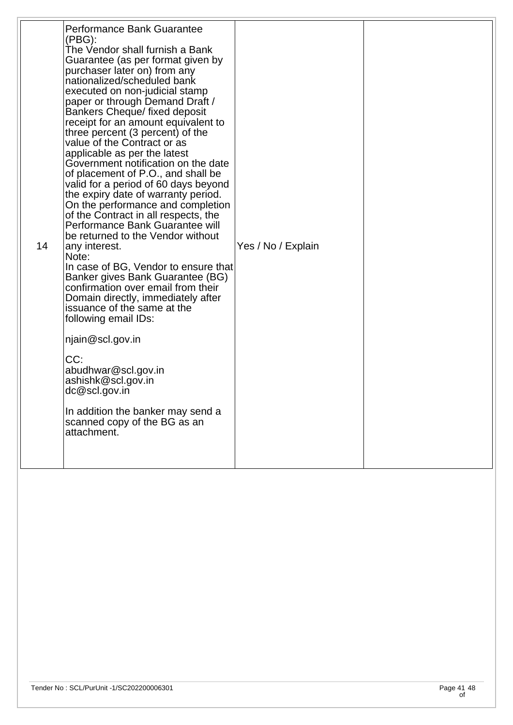| 14 | Performance Bank Guarantee<br>(PBG):<br>The Vendor shall furnish a Bank<br>Guarantee (as per format given by<br>purchaser later on) from any<br>nationalized/scheduled bank<br>executed on non-judicial stamp<br>paper or through Demand Draft /<br><b>Bankers Cheque/ fixed deposit</b><br>receipt for an amount equivalent to<br>three percent (3 percent) of the<br>value of the Contract or as<br>applicable as per the latest<br>Government notification on the date<br>of placement of P.O., and shall be<br>valid for a period of 60 days beyond<br>the expiry date of warranty period.<br>On the performance and completion<br>of the Contract in all respects, the<br>Performance Bank Guarantee will<br>be returned to the Vendor without<br>any interest.<br>Note:<br>In case of BG, Vendor to ensure that<br>Banker gives Bank Guarantee (BG)<br>confirmation over email from their<br>Domain directly, immediately after<br>issuance of the same at the<br>following email IDs:<br>njain@scl.gov.in<br>CC:<br>abudhwar@scl.gov.in<br>ashishk@scl.gov.in<br>dc@scl.gov.in<br>In addition the banker may send a<br>scanned copy of the BG as an<br>attachment. | Yes / No / Explain |  |
|----|---------------------------------------------------------------------------------------------------------------------------------------------------------------------------------------------------------------------------------------------------------------------------------------------------------------------------------------------------------------------------------------------------------------------------------------------------------------------------------------------------------------------------------------------------------------------------------------------------------------------------------------------------------------------------------------------------------------------------------------------------------------------------------------------------------------------------------------------------------------------------------------------------------------------------------------------------------------------------------------------------------------------------------------------------------------------------------------------------------------------------------------------------------------------------|--------------------|--|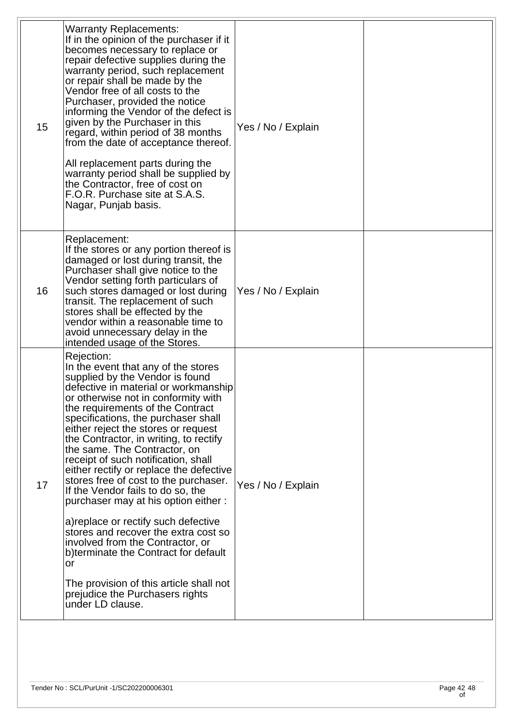| 15 | <b>Warranty Replacements:</b><br>If in the opinion of the purchaser if it<br>becomes necessary to replace or<br>repair defective supplies during the<br>warranty period, such replacement<br>or repair shall be made by the<br>Vendor free of all costs to the<br>Purchaser, provided the notice<br>informing the Vendor of the defect is<br>given by the Purchaser in this<br>regard, within period of 38 months<br>from the date of acceptance thereof.<br>All replacement parts during the<br>warranty period shall be supplied by<br>the Contractor, free of cost on<br>F.O.R. Purchase site at S.A.S.<br>Nagar, Punjab basis.                                                                                                                                                                                                         | Yes / No / Explain |  |
|----|--------------------------------------------------------------------------------------------------------------------------------------------------------------------------------------------------------------------------------------------------------------------------------------------------------------------------------------------------------------------------------------------------------------------------------------------------------------------------------------------------------------------------------------------------------------------------------------------------------------------------------------------------------------------------------------------------------------------------------------------------------------------------------------------------------------------------------------------|--------------------|--|
| 16 | Replacement:<br>If the stores or any portion thereof is<br>damaged or lost during transit, the<br>Purchaser shall give notice to the<br>Vendor setting forth particulars of<br>such stores damaged or lost during<br>transit. The replacement of such<br>stores shall be effected by the<br>vendor within a reasonable time to<br>avoid unnecessary delay in the<br>intended usage of the Stores.                                                                                                                                                                                                                                                                                                                                                                                                                                          | Yes / No / Explain |  |
| 17 | Rejection:<br>In the event that any of the stores<br>supplied by the Vendor is found<br>defective in material or workmanship<br>or otherwise not in conformity with<br>the requirements of the Contract<br>specifications, the purchaser shall<br>either reject the stores or request<br>the Contractor, in writing, to rectify<br>the same. The Contractor, on<br>receipt of such notification, shall<br>either rectify or replace the defective<br>stores free of cost to the purchaser.<br>If the Vendor fails to do so, the<br>purchaser may at his option either:<br>a) replace or rectify such defective<br>stores and recover the extra cost so<br>involved from the Contractor, or<br>b)terminate the Contract for default<br>or<br>The provision of this article shall not<br>prejudice the Purchasers rights<br>under LD clause. | Yes / No / Explain |  |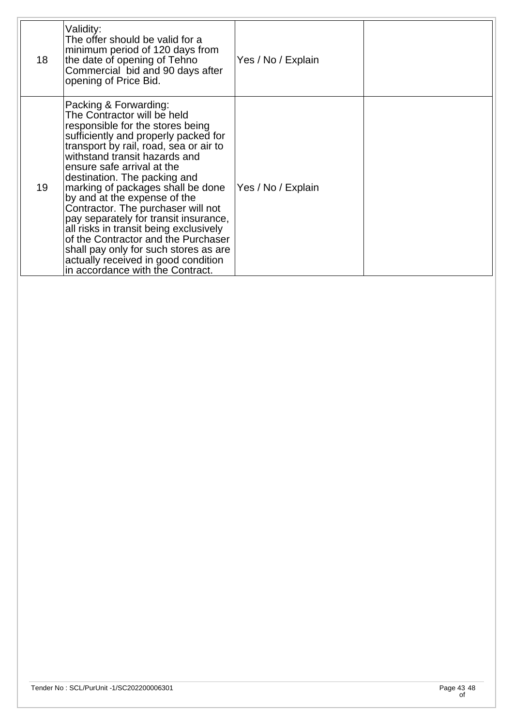| 18 | Validity:<br>The offer should be valid for a<br>minimum period of 120 days from<br>the date of opening of Tehno<br>Commercial bid and 90 days after<br>opening of Price Bid.                                                                                                                                                                                                                                                                                                                                                                                                                                                       | Yes / No / Explain |  |
|----|------------------------------------------------------------------------------------------------------------------------------------------------------------------------------------------------------------------------------------------------------------------------------------------------------------------------------------------------------------------------------------------------------------------------------------------------------------------------------------------------------------------------------------------------------------------------------------------------------------------------------------|--------------------|--|
| 19 | Packing & Forwarding:<br>The Contractor will be held<br>responsible for the stores being<br>sufficiently and properly packed for<br>transport by rail, road, sea or air to<br>withstand transit hazards and<br>ensure safe arrival at the<br>destination. The packing and<br>marking of packages shall be done<br>by and at the expense of the<br>Contractor. The purchaser will not<br>pay separately for transit insurance,<br>all risks in transit being exclusively<br>of the Contractor and the Purchaser<br>shall pay only for such stores as are<br>actually received in good condition<br>in accordance with the Contract. | Yes / No / Explain |  |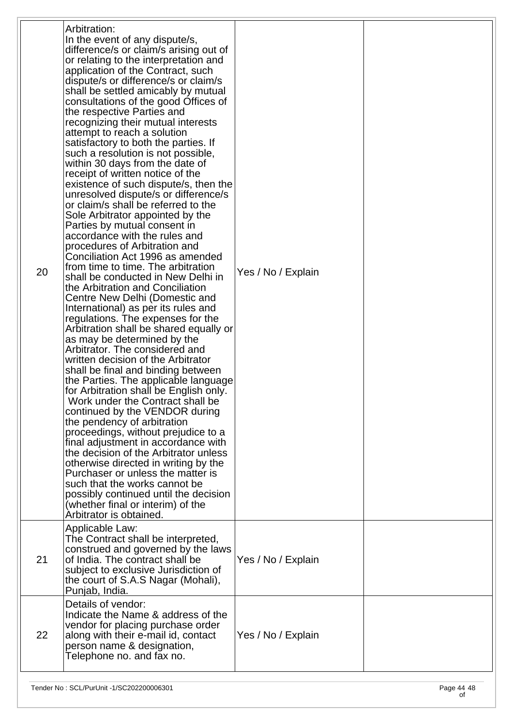| 20 | Arbitration:<br>In the event of any dispute/s,<br>difference/s or claim/s arising out of<br>or relating to the interpretation and<br>application of the Contract, such<br>dispute/s or difference/s or claim/s<br>shall be settled amicably by mutual<br>consultations of the good Offices of<br>the respective Parties and<br>recognizing their mutual interests<br>attempt to reach a solution<br>satisfactory to both the parties. If<br>such a resolution is not possible,<br>within 30 days from the date of<br>receipt of written notice of the<br>existence of such dispute/s, then the<br>unresolved dispute/s or difference/s<br>or claim/s shall be referred to the<br>Sole Arbitrator appointed by the<br>Parties by mutual consent in<br>accordance with the rules and<br>procedures of Arbitration and<br>Conciliation Act 1996 as amended<br>from time to time. The arbitration<br>shall be conducted in New Delhi in<br>the Arbitration and Conciliation<br>Centre New Delhi (Domestic and<br>International) as per its rules and<br>regulations. The expenses for the<br>Arbitration shall be shared equally or<br>as may be determined by the<br>Arbitrator. The considered and<br>written decision of the Arbitrator<br>shall be final and binding between<br>the Parties. The applicable language<br>for Arbitration shall be English only.<br>Work under the Contract shall be<br>continued by the VENDOR during<br>the pendency of arbitration<br>proceedings, without prejudice to a<br>final adjustment in accordance with<br>the decision of the Arbitrator unless<br>otherwise directed in writing by the<br>Purchaser or unless the matter is<br>such that the works cannot be<br>possibly continued until the decision<br>(whether final or interim) of the<br>Arbitrator is obtained. | Yes / No / Explain |  |
|----|-------------------------------------------------------------------------------------------------------------------------------------------------------------------------------------------------------------------------------------------------------------------------------------------------------------------------------------------------------------------------------------------------------------------------------------------------------------------------------------------------------------------------------------------------------------------------------------------------------------------------------------------------------------------------------------------------------------------------------------------------------------------------------------------------------------------------------------------------------------------------------------------------------------------------------------------------------------------------------------------------------------------------------------------------------------------------------------------------------------------------------------------------------------------------------------------------------------------------------------------------------------------------------------------------------------------------------------------------------------------------------------------------------------------------------------------------------------------------------------------------------------------------------------------------------------------------------------------------------------------------------------------------------------------------------------------------------------------------------------------------------------------------------------------------------------------|--------------------|--|
| 21 | Applicable Law:<br>The Contract shall be interpreted,<br>construed and governed by the laws<br>of India. The contract shall be<br>subject to exclusive Jurisdiction of<br>the court of S.A.S Nagar (Mohali),<br>Punjab, India.                                                                                                                                                                                                                                                                                                                                                                                                                                                                                                                                                                                                                                                                                                                                                                                                                                                                                                                                                                                                                                                                                                                                                                                                                                                                                                                                                                                                                                                                                                                                                                                    | Yes / No / Explain |  |
| 22 | Details of vendor:<br>Indicate the Name & address of the<br>vendor for placing purchase order<br>along with their e-mail id, contact<br>person name & designation,<br>Telephone no. and fax no.                                                                                                                                                                                                                                                                                                                                                                                                                                                                                                                                                                                                                                                                                                                                                                                                                                                                                                                                                                                                                                                                                                                                                                                                                                                                                                                                                                                                                                                                                                                                                                                                                   | Yes / No / Explain |  |
|    |                                                                                                                                                                                                                                                                                                                                                                                                                                                                                                                                                                                                                                                                                                                                                                                                                                                                                                                                                                                                                                                                                                                                                                                                                                                                                                                                                                                                                                                                                                                                                                                                                                                                                                                                                                                                                   |                    |  |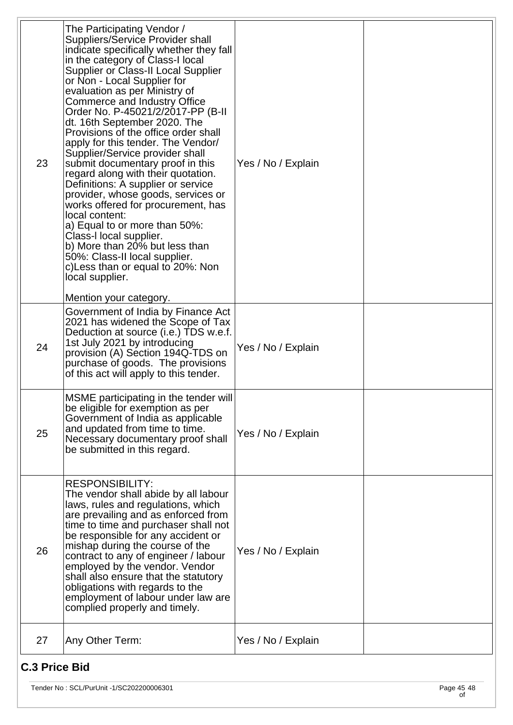| 23 | The Participating Vendor /<br>Suppliers/Service Provider shall<br>indicate specifically whether they fall<br>in the category of Class-I local<br>Supplier or Class-II Local Supplier<br>or Non - Local Supplier for<br>evaluation as per Ministry of<br>Commerce and Industry Office<br>Order No. P-45021/2/2017-PP (B-II)<br>dt. 16th September 2020. The<br>Provisions of the office order shall<br>apply for this tender. The Vendor/<br>Supplier/Service provider shall<br>submit documentary proof in this<br>regard along with their quotation.<br>Definitions: A supplier or service<br>provider, whose goods, services or<br>works offered for procurement, has<br>local content:<br>a) Equal to or more than 50%:<br>Class-I local supplier.<br>b) More than 20% but less than<br>50%: Class-II local supplier.<br>c) Less than or equal to 20%: Non<br>local supplier.<br>Mention your category. | Yes / No / Explain |  |
|----|------------------------------------------------------------------------------------------------------------------------------------------------------------------------------------------------------------------------------------------------------------------------------------------------------------------------------------------------------------------------------------------------------------------------------------------------------------------------------------------------------------------------------------------------------------------------------------------------------------------------------------------------------------------------------------------------------------------------------------------------------------------------------------------------------------------------------------------------------------------------------------------------------------|--------------------|--|
| 24 | Government of India by Finance Act<br>2021 has widened the Scope of Tax<br>Deduction at source (i.e.) TDS w.e.f.<br>1st July 2021 by introducing<br>provision (A) Section 194Q-TDS on<br>purchase of goods. The provisions<br>of this act will apply to this tender.                                                                                                                                                                                                                                                                                                                                                                                                                                                                                                                                                                                                                                       | Yes / No / Explain |  |
| 25 | MSME participating in the tender will<br>be eligible for exemption as per<br>Government of India as applicable<br>and updated from time to time.<br>Necessary documentary proof shall<br>be submitted in this regard.                                                                                                                                                                                                                                                                                                                                                                                                                                                                                                                                                                                                                                                                                      | Yes / No / Explain |  |
| 26 | <b>RESPONSIBILITY:</b><br>The vendor shall abide by all labour<br>laws, rules and regulations, which<br>are prevailing and as enforced from<br>time to time and purchaser shall not<br>be responsible for any accident or<br>mishap during the course of the<br>contract to any of engineer / labour<br>employed by the vendor. Vendor<br>shall also ensure that the statutory<br>obligations with regards to the<br>employment of labour under law are<br>complied properly and timely.                                                                                                                                                                                                                                                                                                                                                                                                                   | Yes / No / Explain |  |
| 27 | Any Other Term:                                                                                                                                                                                                                                                                                                                                                                                                                                                                                                                                                                                                                                                                                                                                                                                                                                                                                            | Yes / No / Explain |  |

## **C.3 Price Bid**

Tender No : SCL/PurUnit -1/SC202200006301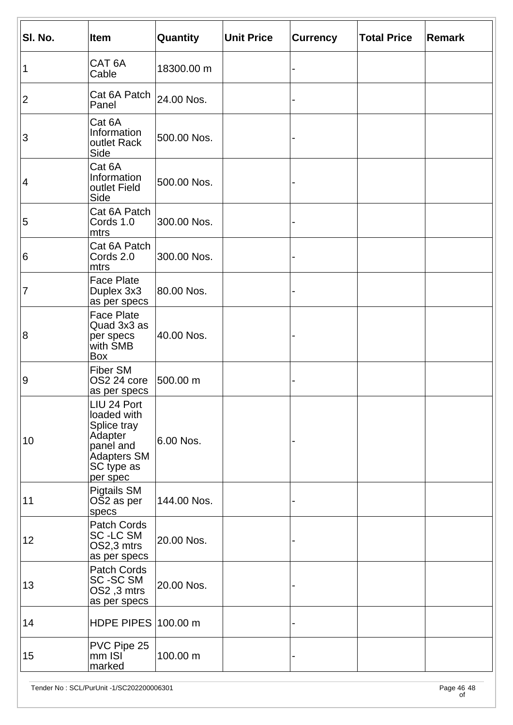| SI. No.        | <b>Item</b>                                                                                                | Quantity    | <b>Unit Price</b> | <b>Currency</b> | <b>Total Price</b> | Remark |
|----------------|------------------------------------------------------------------------------------------------------------|-------------|-------------------|-----------------|--------------------|--------|
| 1              | CAT <sub>6A</sub><br>Cable                                                                                 | 18300.00 m  |                   |                 |                    |        |
| $\overline{2}$ | Cat 6A Patch $ _{24.00}$ Nos.<br>Panel                                                                     |             |                   |                 |                    |        |
| 3              | Cat 6A<br>Information<br>outlet Rack<br>Side                                                               | 500.00 Nos. |                   |                 |                    |        |
| 4              | Cat 6A<br>Information<br>outlet Field<br>Side                                                              | 500.00 Nos. |                   |                 |                    |        |
| 5              | Cat 6A Patch<br>Cords 1.0<br>mtrs                                                                          | 300.00 Nos. |                   |                 |                    |        |
| 6              | Cat 6A Patch<br>Cords 2.0<br>mtrs                                                                          | 300.00 Nos. |                   |                 |                    |        |
| 7              | <b>Face Plate</b><br>Duplex 3x3<br>as per specs                                                            | 80.00 Nos.  |                   |                 |                    |        |
| 8              | <b>Face Plate</b><br>Quad 3x3 as<br>per specs<br>with SMB<br>Box                                           | 40.00 Nos.  |                   |                 |                    |        |
| $\overline{9}$ | <b>Fiber SM</b><br>OS2 24 core<br>as per specs                                                             | 500.00 m    |                   |                 |                    |        |
| 10             | LIU 24 Port<br>loaded with<br>Splice tray<br>Adapter<br>panel and<br>Adapters SM<br>SC type as<br>per spec | 6.00 Nos.   |                   |                 |                    |        |
| 11             | Pigtails SM<br>OŠ2 as per<br>specs                                                                         | 144.00 Nos. |                   |                 |                    |        |
| 12             | Patch Cords<br>SC-LC SM<br>OS2,3 mtrs<br>as per specs                                                      | 20.00 Nos.  |                   |                 |                    |        |
| 13             | Patch Cords<br>SC-SC SM<br>OS2,3 mtrs<br>as per specs                                                      | 20.00 Nos.  |                   |                 |                    |        |
| 14             | HDPE PIPES 100.00 m                                                                                        |             |                   |                 |                    |        |
| 15             | PVC Pipe 25<br>$mm$ ISI<br>marked                                                                          | 100.00 m    |                   |                 |                    |        |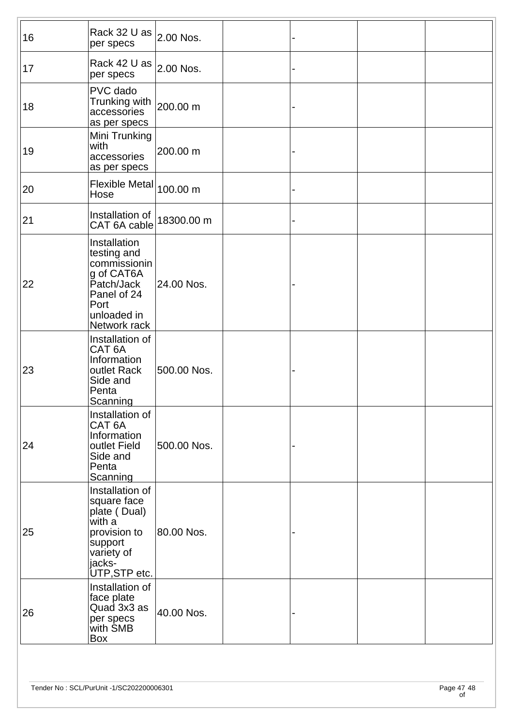| 16 | Rack 32 U as $ _{2.00}$ Nos.<br>per specs                                                                                     |             |  |  |
|----|-------------------------------------------------------------------------------------------------------------------------------|-------------|--|--|
| 17 | Rack 42 U as $ _{2.00}$ Nos.<br>per specs                                                                                     |             |  |  |
| 18 | PVC dado<br>Trunking with<br>accessories<br>as per specs                                                                      | 200.00 m    |  |  |
| 19 | Mini Trunking<br>with<br>accessories<br>as per specs                                                                          | 200.00 m    |  |  |
| 20 | Flexible Metal $ _{100.00\ \mathsf{m}}$<br>Hose                                                                               |             |  |  |
| 21 | Installation of<br>CAT 6A cable                                                                                               | 18300.00 m  |  |  |
| 22 | Installation<br>testing and<br>commissionin<br>g of CAT6A<br>Patch/Jack<br>Panel of 24<br>Port<br>unloaded in<br>Network rack | 24.00 Nos.  |  |  |
| 23 | Installation of<br>CAT <sub>6A</sub><br>Information<br>outlet Rack<br>Side and<br>Penta<br>Scanning                           | 500.00 Nos. |  |  |
| 24 | Installation of<br>CAT <sub>6A</sub><br>Information<br>outlet Field<br>Side and<br>Penta<br>Scanning                          | 500.00 Nos. |  |  |
| 25 | Installation of<br>square face<br>plate (Dual)<br>with a<br>provision to<br>support<br>variety of<br>jacks-<br>UTP, STP etc.  | 80.00 Nos.  |  |  |
| 26 | Installation of<br>face plate<br>Quad 3x3 as<br>per specs<br>with SMB<br>Box                                                  | 40.00 Nos.  |  |  |